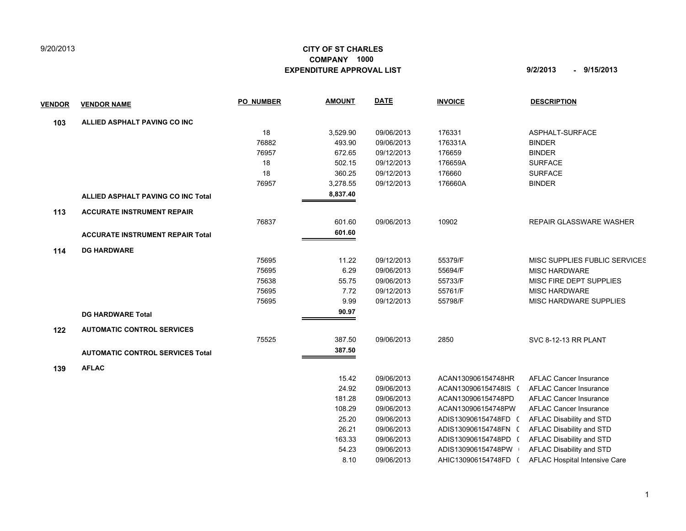## 9/20/2013

## **CITY OF ST CHARLES EXPENDITURE APPROVAL LIST 9/2/2013 - 9/15/2013 COMPANY 1000**

| <u>VENDOR</u> | <b>VENDOR NAME</b>                        | <b>PO NUMBER</b> | <b>AMOUNT</b> | <b>DATE</b> | <b>INVOICE</b>       | <b>DESCRIPTION</b>             |
|---------------|-------------------------------------------|------------------|---------------|-------------|----------------------|--------------------------------|
| 103           | ALLIED ASPHALT PAVING CO INC              |                  |               |             |                      |                                |
|               |                                           | 18               | 3,529.90      | 09/06/2013  | 176331               | ASPHALT-SURFACE                |
|               |                                           | 76882            | 493.90        | 09/06/2013  | 176331A              | <b>BINDER</b>                  |
|               |                                           | 76957            | 672.65        | 09/12/2013  | 176659               | <b>BINDER</b>                  |
|               |                                           | 18               | 502.15        | 09/12/2013  | 176659A              | <b>SURFACE</b>                 |
|               |                                           | 18               | 360.25        | 09/12/2013  | 176660               | <b>SURFACE</b>                 |
|               |                                           | 76957            | 3,278.55      | 09/12/2013  | 176660A              | <b>BINDER</b>                  |
|               | <b>ALLIED ASPHALT PAVING CO INC Total</b> |                  | 8,837.40      |             |                      |                                |
| 113           | <b>ACCURATE INSTRUMENT REPAIR</b>         |                  |               |             |                      |                                |
|               |                                           | 76837            | 601.60        | 09/06/2013  | 10902                | <b>REPAIR GLASSWARE WASHER</b> |
|               | <b>ACCURATE INSTRUMENT REPAIR Total</b>   |                  | 601.60        |             |                      |                                |
| 114           | <b>DG HARDWARE</b>                        |                  |               |             |                      |                                |
|               |                                           | 75695            | 11.22         | 09/12/2013  | 55379/F              | MISC SUPPLIES FUBLIC SERVICES  |
|               |                                           | 75695            | 6.29          | 09/06/2013  | 55694/F              | <b>MISC HARDWARE</b>           |
|               |                                           | 75638            | 55.75         | 09/06/2013  | 55733/F              | MISC FIRE DEPT SUPPLIES        |
|               |                                           | 75695            | 7.72          | 09/12/2013  | 55761/F              | <b>MISC HARDWARE</b>           |
|               |                                           | 75695            | 9.99          | 09/12/2013  | 55798/F              | MISC HARDWARE SUPPLIES         |
|               | <b>DG HARDWARE Total</b>                  |                  | 90.97         |             |                      |                                |
| 122           | <b>AUTOMATIC CONTROL SERVICES</b>         |                  |               |             |                      |                                |
|               |                                           | 75525            | 387.50        | 09/06/2013  | 2850                 | <b>SVC 8-12-13 RR PLANT</b>    |
|               | <b>AUTOMATIC CONTROL SERVICES Total</b>   |                  | 387.50        |             |                      |                                |
| 139           | <b>AFLAC</b>                              |                  |               |             |                      |                                |
|               |                                           |                  | 15.42         | 09/06/2013  | ACAN130906154748HR   | <b>AFLAC Cancer Insurance</b>  |
|               |                                           |                  | 24.92         | 09/06/2013  | ACAN130906154748IS ( | <b>AFLAC Cancer Insurance</b>  |
|               |                                           |                  | 181.28        | 09/06/2013  | ACAN130906154748PD   | AFLAC Cancer Insurance         |
|               |                                           |                  | 108.29        | 09/06/2013  | ACAN130906154748PW   | <b>AFLAC Cancer Insurance</b>  |
|               |                                           |                  | 25.20         | 09/06/2013  | ADIS130906154748FD ( | AFLAC Disability and STD       |
|               |                                           |                  | 26.21         | 09/06/2013  | ADIS130906154748FN ( | AFLAC Disability and STD       |
|               |                                           |                  | 163.33        | 09/06/2013  | ADIS130906154748PD ( | AFLAC Disability and STD       |

 54.23 09/06/2013 ADIS130906154748PW 0 AFLAC Disability and STD 8.10 09/06/2013 AHIC130906154748FD ( AFLAC Hospital Intensive Care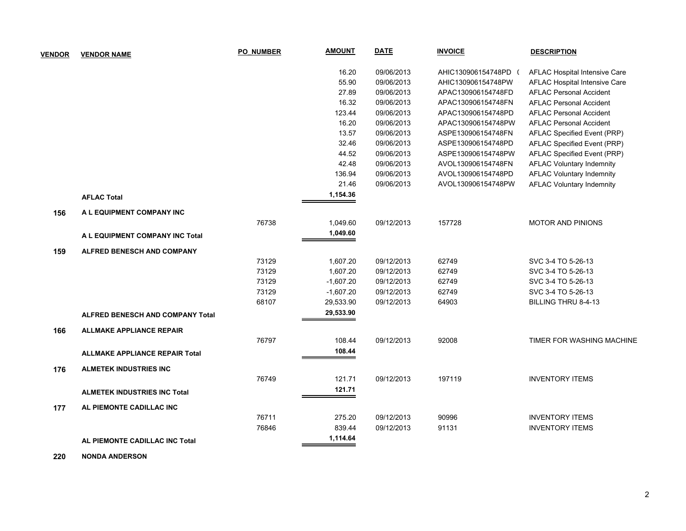| <b>VENDOR</b> | <b>VENDOR NAME</b>                      | <b>PO NUMBER</b> | <b>AMOUNT</b> | <b>DATE</b> | <b>INVOICE</b>     | <b>DESCRIPTION</b>               |
|---------------|-----------------------------------------|------------------|---------------|-------------|--------------------|----------------------------------|
|               |                                         |                  | 16.20         | 09/06/2013  | AHIC130906154748PD | AFLAC Hospital Intensive Care    |
|               |                                         |                  | 55.90         | 09/06/2013  | AHIC130906154748PW | AFLAC Hospital Intensive Care    |
|               |                                         |                  | 27.89         | 09/06/2013  | APAC130906154748FD | <b>AFLAC Personal Accident</b>   |
|               |                                         |                  | 16.32         | 09/06/2013  | APAC130906154748FN | <b>AFLAC Personal Accident</b>   |
|               |                                         |                  | 123.44        | 09/06/2013  | APAC130906154748PD | <b>AFLAC Personal Accident</b>   |
|               |                                         |                  | 16.20         | 09/06/2013  | APAC130906154748PW | <b>AFLAC Personal Accident</b>   |
|               |                                         |                  | 13.57         | 09/06/2013  | ASPE130906154748FN | AFLAC Specified Event (PRP)      |
|               |                                         |                  | 32.46         | 09/06/2013  | ASPE130906154748PD | AFLAC Specified Event (PRP)      |
|               |                                         |                  | 44.52         | 09/06/2013  | ASPE130906154748PW | AFLAC Specified Event (PRP)      |
|               |                                         |                  | 42.48         | 09/06/2013  | AVOL130906154748FN | <b>AFLAC Voluntary Indemnity</b> |
|               |                                         |                  | 136.94        | 09/06/2013  | AVOL130906154748PD | <b>AFLAC Voluntary Indemnity</b> |
|               |                                         |                  | 21.46         | 09/06/2013  | AVOL130906154748PW | <b>AFLAC Voluntary Indemnity</b> |
|               | <b>AFLAC Total</b>                      |                  | 1,154.36      |             |                    |                                  |
| 156           | A L EQUIPMENT COMPANY INC               |                  |               |             |                    |                                  |
|               |                                         | 76738            | 1,049.60      | 09/12/2013  | 157728             | <b>MOTOR AND PINIONS</b>         |
|               | A L EQUIPMENT COMPANY INC Total         |                  | 1,049.60      |             |                    |                                  |
| 159           | <b>ALFRED BENESCH AND COMPANY</b>       |                  |               |             |                    |                                  |
|               |                                         | 73129            | 1,607.20      | 09/12/2013  | 62749              | SVC 3-4 TO 5-26-13               |
|               |                                         | 73129            | 1,607.20      | 09/12/2013  | 62749              | SVC 3-4 TO 5-26-13               |
|               |                                         | 73129            | $-1,607.20$   | 09/12/2013  | 62749              | SVC 3-4 TO 5-26-13               |
|               |                                         | 73129            | $-1,607.20$   | 09/12/2013  | 62749              | SVC 3-4 TO 5-26-13               |
|               |                                         | 68107            | 29,533.90     | 09/12/2013  | 64903              | BILLING THRU 8-4-13              |
|               | <b>ALFRED BENESCH AND COMPANY Total</b> |                  | 29,533.90     |             |                    |                                  |
| 166           | <b>ALLMAKE APPLIANCE REPAIR</b>         |                  |               |             |                    |                                  |
|               |                                         | 76797            | 108.44        | 09/12/2013  | 92008              | TIMER FOR WASHING MACHINE        |
|               | <b>ALLMAKE APPLIANCE REPAIR Total</b>   |                  | 108.44        |             |                    |                                  |
| 176           | <b>ALMETEK INDUSTRIES INC</b>           |                  |               |             |                    |                                  |
|               |                                         | 76749            | 121.71        | 09/12/2013  | 197119             | <b>INVENTORY ITEMS</b>           |
|               | <b>ALMETEK INDUSTRIES INC Total</b>     |                  | 121.71        |             |                    |                                  |
| 177           | AL PIEMONTE CADILLAC INC                |                  |               |             |                    |                                  |
|               |                                         | 76711            | 275.20        | 09/12/2013  | 90996              | <b>INVENTORY ITEMS</b>           |
|               |                                         | 76846            | 839.44        | 09/12/2013  | 91131              | <b>INVENTORY ITEMS</b>           |
|               | AL PIEMONTE CADILLAC INC Total          |                  | 1,114.64      |             |                    |                                  |

 **220 NONDA ANDERSON**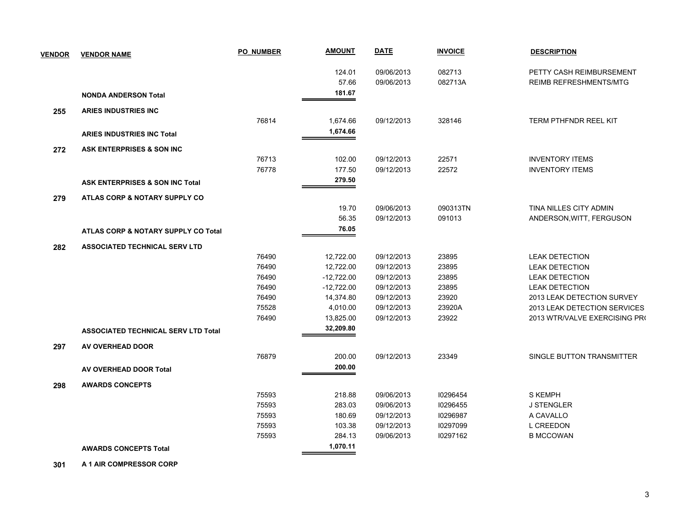| <b>VENDOR</b> | <b>VENDOR NAME</b>                         | <b>PO NUMBER</b> | <b>AMOUNT</b> | <b>DATE</b> | <b>INVOICE</b> | <b>DESCRIPTION</b>            |
|---------------|--------------------------------------------|------------------|---------------|-------------|----------------|-------------------------------|
|               |                                            |                  | 124.01        | 09/06/2013  | 082713         | PETTY CASH REIMBURSEMENT      |
|               |                                            |                  | 57.66         | 09/06/2013  | 082713A        | <b>REIMB REFRESHMENTS/MTG</b> |
|               | <b>NONDA ANDERSON Total</b>                |                  | 181.67        |             |                |                               |
| 255           | <b>ARIES INDUSTRIES INC</b>                |                  |               |             |                |                               |
|               |                                            | 76814            | 1,674.66      | 09/12/2013  | 328146         | <b>TERM PTHFNDR REEL KIT</b>  |
|               | <b>ARIES INDUSTRIES INC Total</b>          |                  | 1,674.66      |             |                |                               |
| 272           | ASK ENTERPRISES & SON INC                  |                  |               |             |                |                               |
|               |                                            | 76713            | 102.00        | 09/12/2013  | 22571          | <b>INVENTORY ITEMS</b>        |
|               |                                            | 76778            | 177.50        | 09/12/2013  | 22572          | <b>INVENTORY ITEMS</b>        |
|               | ASK ENTERPRISES & SON INC Total            |                  | 279.50        |             |                |                               |
| 279           | ATLAS CORP & NOTARY SUPPLY CO              |                  |               |             |                |                               |
|               |                                            |                  | 19.70         | 09/06/2013  | 090313TN       | TINA NILLES CITY ADMIN        |
|               |                                            |                  | 56.35         | 09/12/2013  | 091013         | ANDERSON, WITT, FERGUSON      |
|               | ATLAS CORP & NOTARY SUPPLY CO Total        |                  | 76.05         |             |                |                               |
| 282           | <b>ASSOCIATED TECHNICAL SERV LTD</b>       |                  |               |             |                |                               |
|               |                                            | 76490            | 12,722.00     | 09/12/2013  | 23895          | <b>LEAK DETECTION</b>         |
|               |                                            | 76490            | 12,722.00     | 09/12/2013  | 23895          | <b>LEAK DETECTION</b>         |
|               |                                            | 76490            | $-12,722.00$  | 09/12/2013  | 23895          | <b>LEAK DETECTION</b>         |
|               |                                            | 76490            | $-12,722.00$  | 09/12/2013  | 23895          | <b>LEAK DETECTION</b>         |
|               |                                            | 76490            | 14,374.80     | 09/12/2013  | 23920          | 2013 LEAK DETECTION SURVEY    |
|               |                                            | 75528            | 4,010.00      | 09/12/2013  | 23920A         | 2013 LEAK DETECTION SERVICES  |
|               |                                            | 76490            | 13,825.00     | 09/12/2013  | 23922          | 2013 WTR/VALVE EXERCISING PRO |
|               | <b>ASSOCIATED TECHNICAL SERV LTD Total</b> |                  | 32,209.80     |             |                |                               |
| 297           | AV OVERHEAD DOOR                           |                  |               |             |                |                               |
|               |                                            | 76879            | 200.00        | 09/12/2013  | 23349          | SINGLE BUTTON TRANSMITTER     |
|               | AV OVERHEAD DOOR Total                     |                  | 200.00        |             |                |                               |
| 298           | <b>AWARDS CONCEPTS</b>                     |                  |               |             |                |                               |
|               |                                            | 75593            | 218.88        | 09/06/2013  | 10296454       | <b>S KEMPH</b>                |
|               |                                            | 75593            | 283.03        | 09/06/2013  | 10296455       | <b>J STENGLER</b>             |
|               |                                            | 75593            | 180.69        | 09/12/2013  | 10296987       | A CAVALLO                     |
|               |                                            | 75593            | 103.38        | 09/12/2013  | 10297099       | <b>L CREEDON</b>              |
|               |                                            | 75593            | 284.13        | 09/06/2013  | 10297162       | <b>B MCCOWAN</b>              |
|               | <b>AWARDS CONCEPTS Total</b>               |                  | 1,070.11      |             |                |                               |

 **301 A 1 AIR COMPRESSOR CORP**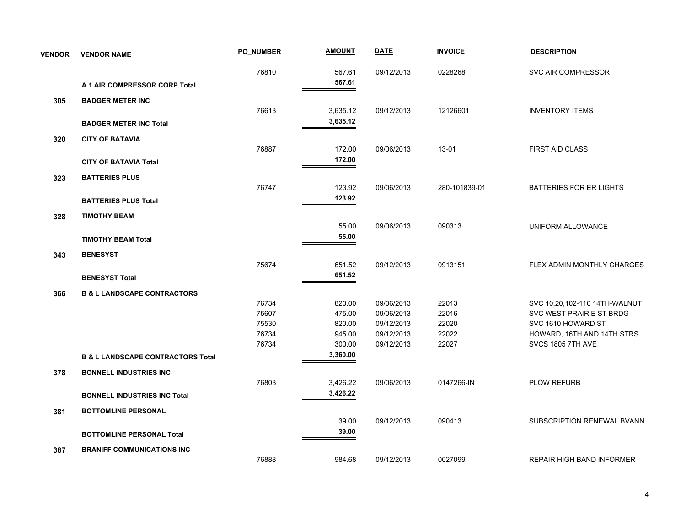| <b>VENDOR</b> | <b>VENDOR NAME</b>                           | <b>PO NUMBER</b> | <b>AMOUNT</b> | <b>DATE</b> | <b>INVOICE</b> | <b>DESCRIPTION</b>               |
|---------------|----------------------------------------------|------------------|---------------|-------------|----------------|----------------------------------|
|               |                                              | 76810            | 567.61        | 09/12/2013  | 0228268        | SVC AIR COMPRESSOR               |
|               | A 1 AIR COMPRESSOR CORP Total                |                  | 567.61        |             |                |                                  |
| 305           | <b>BADGER METER INC</b>                      |                  |               |             |                |                                  |
|               |                                              | 76613            | 3,635.12      | 09/12/2013  | 12126601       | <b>INVENTORY ITEMS</b>           |
|               | <b>BADGER METER INC Total</b>                |                  | 3,635.12      |             |                |                                  |
| 320           | <b>CITY OF BATAVIA</b>                       |                  |               |             |                |                                  |
|               |                                              | 76887            | 172.00        | 09/06/2013  | 13-01          | <b>FIRST AID CLASS</b>           |
|               | <b>CITY OF BATAVIA Total</b>                 |                  | 172.00        |             |                |                                  |
| 323           | <b>BATTERIES PLUS</b>                        |                  |               |             |                |                                  |
|               |                                              | 76747            | 123.92        | 09/06/2013  | 280-101839-01  | <b>BATTERIES FOR ER LIGHTS</b>   |
|               | <b>BATTERIES PLUS Total</b>                  |                  | 123.92        |             |                |                                  |
| 328           | <b>TIMOTHY BEAM</b>                          |                  |               |             |                |                                  |
|               |                                              |                  | 55.00         | 09/06/2013  | 090313         | UNIFORM ALLOWANCE                |
|               | <b>TIMOTHY BEAM Total</b>                    |                  | 55.00         |             |                |                                  |
| 343           | <b>BENESYST</b>                              |                  |               |             |                |                                  |
|               |                                              | 75674            | 651.52        | 09/12/2013  | 0913151        | FLEX ADMIN MONTHLY CHARGES       |
|               | <b>BENESYST Total</b>                        |                  | 651.52        |             |                |                                  |
| 366           | <b>B &amp; L LANDSCAPE CONTRACTORS</b>       |                  |               |             |                |                                  |
|               |                                              | 76734            | 820.00        | 09/06/2013  | 22013          | SVC 10,20,102-110 14TH-WALNUT    |
|               |                                              | 75607            | 475.00        | 09/06/2013  | 22016          | SVC WEST PRAIRIE ST BRDG         |
|               |                                              | 75530            | 820.00        | 09/12/2013  | 22020          | SVC 1610 HOWARD ST               |
|               |                                              | 76734            | 945.00        | 09/12/2013  | 22022          | HOWARD, 16TH AND 14TH STRS       |
|               |                                              | 76734            | 300.00        | 09/12/2013  | 22027          | SVCS 1805 7TH AVE                |
|               | <b>B &amp; L LANDSCAPE CONTRACTORS Total</b> |                  | 3,360.00      |             |                |                                  |
| 378           | <b>BONNELL INDUSTRIES INC</b>                |                  |               |             |                |                                  |
|               |                                              | 76803            | 3,426.22      | 09/06/2013  | 0147266-IN     | <b>PLOW REFURB</b>               |
|               | <b>BONNELL INDUSTRIES INC Total</b>          |                  | 3,426.22      |             |                |                                  |
| 381           | <b>BOTTOMLINE PERSONAL</b>                   |                  |               |             |                |                                  |
|               |                                              |                  | 39.00         | 09/12/2013  | 090413         | SUBSCRIPTION RENEWAL BVANN       |
|               | <b>BOTTOMLINE PERSONAL Total</b>             |                  | 39.00         |             |                |                                  |
| 387           | <b>BRANIFF COMMUNICATIONS INC</b>            |                  |               |             |                |                                  |
|               |                                              | 76888            | 984.68        | 09/12/2013  | 0027099        | <b>REPAIR HIGH BAND INFORMER</b> |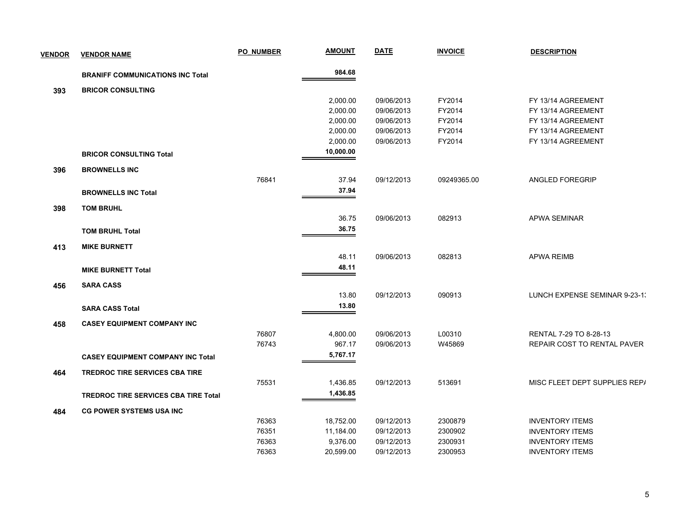| <b>VENDOR</b> | <b>VENDOR NAME</b>                          | <b>PO NUMBER</b> | <b>AMOUNT</b> | <b>DATE</b> | <b>INVOICE</b> | <b>DESCRIPTION</b>            |
|---------------|---------------------------------------------|------------------|---------------|-------------|----------------|-------------------------------|
|               | <b>BRANIFF COMMUNICATIONS INC Total</b>     |                  | 984.68        |             |                |                               |
| 393           | <b>BRICOR CONSULTING</b>                    |                  |               |             |                |                               |
|               |                                             |                  | 2,000.00      | 09/06/2013  | FY2014         | FY 13/14 AGREEMENT            |
|               |                                             |                  | 2,000.00      | 09/06/2013  | FY2014         | FY 13/14 AGREEMENT            |
|               |                                             |                  | 2,000.00      | 09/06/2013  | FY2014         | FY 13/14 AGREEMENT            |
|               |                                             |                  | 2,000.00      | 09/06/2013  | FY2014         | FY 13/14 AGREEMENT            |
|               |                                             |                  | 2,000.00      | 09/06/2013  | FY2014         | FY 13/14 AGREEMENT            |
|               | <b>BRICOR CONSULTING Total</b>              |                  | 10,000.00     |             |                |                               |
| 396           | <b>BROWNELLS INC</b>                        |                  |               |             |                |                               |
|               |                                             | 76841            | 37.94         | 09/12/2013  | 09249365.00    | ANGLED FOREGRIP               |
|               | <b>BROWNELLS INC Total</b>                  |                  | 37.94         |             |                |                               |
| 398           | <b>TOM BRUHL</b>                            |                  |               |             |                |                               |
|               |                                             |                  | 36.75         | 09/06/2013  | 082913         | APWA SEMINAR                  |
|               | <b>TOM BRUHL Total</b>                      |                  | 36.75         |             |                |                               |
| 413           | <b>MIKE BURNETT</b>                         |                  |               |             |                |                               |
|               |                                             |                  | 48.11         | 09/06/2013  | 082813         | <b>APWA REIMB</b>             |
|               | <b>MIKE BURNETT Total</b>                   |                  | 48.11         |             |                |                               |
| 456           | <b>SARA CASS</b>                            |                  |               |             |                |                               |
|               |                                             |                  | 13.80         | 09/12/2013  | 090913         | LUNCH EXPENSE SEMINAR 9-23-1. |
|               |                                             |                  | 13.80         |             |                |                               |
|               | <b>SARA CASS Total</b>                      |                  |               |             |                |                               |
| 458           | <b>CASEY EQUIPMENT COMPANY INC</b>          |                  |               |             |                |                               |
|               |                                             | 76807            | 4,800.00      | 09/06/2013  | L00310         | RENTAL 7-29 TO 8-28-13        |
|               |                                             | 76743            | 967.17        | 09/06/2013  | W45869         | REPAIR COST TO RENTAL PAVER   |
|               | <b>CASEY EQUIPMENT COMPANY INC Total</b>    |                  | 5,767.17      |             |                |                               |
| 464           | <b>TREDROC TIRE SERVICES CBA TIRE</b>       |                  |               |             |                |                               |
|               |                                             | 75531            | 1,436.85      | 09/12/2013  | 513691         | MISC FLEET DEPT SUPPLIES REP/ |
|               | <b>TREDROC TIRE SERVICES CBA TIRE Total</b> |                  | 1,436.85      |             |                |                               |
| 484           | <b>CG POWER SYSTEMS USA INC</b>             |                  |               |             |                |                               |
|               |                                             | 76363            | 18,752.00     | 09/12/2013  | 2300879        | <b>INVENTORY ITEMS</b>        |
|               |                                             | 76351            | 11,184.00     | 09/12/2013  | 2300902        | <b>INVENTORY ITEMS</b>        |
|               |                                             | 76363            | 9,376.00      | 09/12/2013  | 2300931        | <b>INVENTORY ITEMS</b>        |
|               |                                             | 76363            | 20,599.00     | 09/12/2013  | 2300953        | <b>INVENTORY ITEMS</b>        |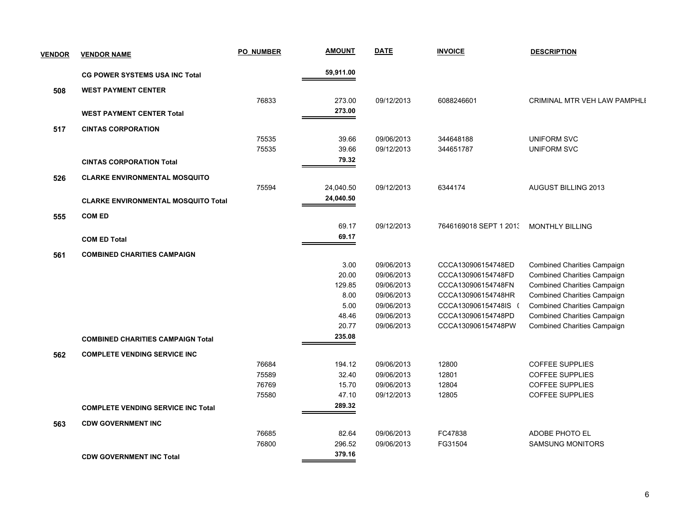| <b>VENDOR</b> | <b>VENDOR NAME</b>                         | <b>PO NUMBER</b> | <b>AMOUNT</b>  | <b>DATE</b>              | <b>INVOICE</b>         | <b>DESCRIPTION</b>                                                       |
|---------------|--------------------------------------------|------------------|----------------|--------------------------|------------------------|--------------------------------------------------------------------------|
|               | <b>CG POWER SYSTEMS USA INC Total</b>      |                  | 59,911.00      |                          |                        |                                                                          |
| 508           | <b>WEST PAYMENT CENTER</b>                 |                  |                |                          |                        |                                                                          |
|               |                                            | 76833            | 273.00         | 09/12/2013               | 6088246601             | CRIMINAL MTR VEH LAW PAMPHLI                                             |
|               | <b>WEST PAYMENT CENTER Total</b>           |                  | 273.00         |                          |                        |                                                                          |
|               |                                            |                  |                |                          |                        |                                                                          |
| 517           | <b>CINTAS CORPORATION</b>                  |                  |                |                          | 344648188              |                                                                          |
|               |                                            | 75535<br>75535   | 39.66<br>39.66 | 09/06/2013<br>09/12/2013 | 344651787              | <b>UNIFORM SVC</b><br><b>UNIFORM SVC</b>                                 |
|               |                                            |                  | 79.32          |                          |                        |                                                                          |
|               | <b>CINTAS CORPORATION Total</b>            |                  |                |                          |                        |                                                                          |
| 526           | <b>CLARKE ENVIRONMENTAL MOSQUITO</b>       |                  |                |                          |                        |                                                                          |
|               |                                            | 75594            | 24,040.50      | 09/12/2013               | 6344174                | AUGUST BILLING 2013                                                      |
|               | <b>CLARKE ENVIRONMENTAL MOSQUITO Total</b> |                  | 24,040.50      |                          |                        |                                                                          |
| 555           | <b>COM ED</b>                              |                  |                |                          |                        |                                                                          |
|               |                                            |                  | 69.17          | 09/12/2013               | 7646169018 SEPT 1 2013 | <b>MONTHLY BILLING</b>                                                   |
|               | <b>COM ED Total</b>                        |                  | 69.17          |                          |                        |                                                                          |
|               |                                            |                  |                |                          |                        |                                                                          |
| 561           | <b>COMBINED CHARITIES CAMPAIGN</b>         |                  | 3.00           | 09/06/2013               | CCCA130906154748ED     |                                                                          |
|               |                                            |                  | 20.00          | 09/06/2013               | CCCA130906154748FD     | <b>Combined Charities Campaign</b><br><b>Combined Charities Campaign</b> |
|               |                                            |                  | 129.85         | 09/06/2013               | CCCA130906154748FN     | <b>Combined Charities Campaign</b>                                       |
|               |                                            |                  | 8.00           | 09/06/2013               | CCCA130906154748HR     | <b>Combined Charities Campaign</b>                                       |
|               |                                            |                  | 5.00           | 09/06/2013               | CCCA130906154748IS (   | <b>Combined Charities Campaign</b>                                       |
|               |                                            |                  | 48.46          | 09/06/2013               | CCCA130906154748PD     | <b>Combined Charities Campaign</b>                                       |
|               |                                            |                  | 20.77          | 09/06/2013               | CCCA130906154748PW     | <b>Combined Charities Campaign</b>                                       |
|               | <b>COMBINED CHARITIES CAMPAIGN Total</b>   |                  | 235.08         |                          |                        |                                                                          |
| 562           | <b>COMPLETE VENDING SERVICE INC</b>        |                  |                |                          |                        |                                                                          |
|               |                                            | 76684            | 194.12         | 09/06/2013               | 12800                  | <b>COFFEE SUPPLIES</b>                                                   |
|               |                                            | 75589            | 32.40          | 09/06/2013               | 12801                  | <b>COFFEE SUPPLIES</b>                                                   |
|               |                                            | 76769            | 15.70          | 09/06/2013               | 12804                  | <b>COFFEE SUPPLIES</b>                                                   |
|               |                                            | 75580            | 47.10          | 09/12/2013               | 12805                  | <b>COFFEE SUPPLIES</b>                                                   |
|               | <b>COMPLETE VENDING SERVICE INC Total</b>  |                  | 289.32         |                          |                        |                                                                          |
| 563           | <b>CDW GOVERNMENT INC</b>                  |                  |                |                          |                        |                                                                          |
|               |                                            | 76685            | 82.64          | 09/06/2013               | FC47838                | ADOBE PHOTO EL                                                           |
|               |                                            | 76800            | 296.52         | 09/06/2013               | FG31504                | <b>SAMSUNG MONITORS</b>                                                  |
|               | <b>CDW GOVERNMENT INC Total</b>            |                  | 379.16         |                          |                        |                                                                          |
|               |                                            |                  |                |                          |                        |                                                                          |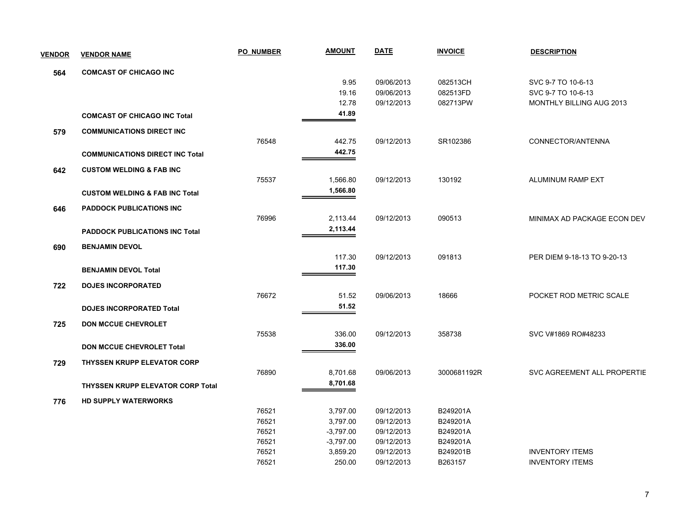| <b>VENDOR</b> | <b>VENDOR NAME</b>                        | <b>PO NUMBER</b> | <b>AMOUNT</b> | <b>DATE</b> | <b>INVOICE</b> | <b>DESCRIPTION</b>          |
|---------------|-------------------------------------------|------------------|---------------|-------------|----------------|-----------------------------|
| 564           | <b>COMCAST OF CHICAGO INC</b>             |                  |               |             |                |                             |
|               |                                           |                  | 9.95          | 09/06/2013  | 082513CH       | SVC 9-7 TO 10-6-13          |
|               |                                           |                  | 19.16         | 09/06/2013  | 082513FD       | SVC 9-7 TO 10-6-13          |
|               |                                           |                  | 12.78         | 09/12/2013  | 082713PW       | MONTHLY BILLING AUG 2013    |
|               | <b>COMCAST OF CHICAGO INC Total</b>       |                  | 41.89         |             |                |                             |
| 579           | <b>COMMUNICATIONS DIRECT INC</b>          |                  |               |             |                |                             |
|               |                                           | 76548            | 442.75        | 09/12/2013  | SR102386       | CONNECTOR/ANTENNA           |
|               | <b>COMMUNICATIONS DIRECT INC Total</b>    |                  | 442.75        |             |                |                             |
| 642           | <b>CUSTOM WELDING &amp; FAB INC</b>       |                  |               |             |                |                             |
|               |                                           | 75537            | 1,566.80      | 09/12/2013  | 130192         | ALUMINUM RAMP EXT           |
|               | <b>CUSTOM WELDING &amp; FAB INC Total</b> |                  | 1,566.80      |             |                |                             |
| 646           | <b>PADDOCK PUBLICATIONS INC</b>           |                  |               |             |                |                             |
|               |                                           | 76996            | 2,113.44      | 09/12/2013  | 090513         | MINIMAX AD PACKAGE ECON DEV |
|               | <b>PADDOCK PUBLICATIONS INC Total</b>     |                  | 2,113.44      |             |                |                             |
| 690           | <b>BENJAMIN DEVOL</b>                     |                  |               |             |                |                             |
|               |                                           |                  | 117.30        | 09/12/2013  | 091813         | PER DIEM 9-18-13 TO 9-20-13 |
|               | <b>BENJAMIN DEVOL Total</b>               |                  | 117.30        |             |                |                             |
| 722           | <b>DOJES INCORPORATED</b>                 |                  |               |             |                |                             |
|               |                                           | 76672            | 51.52         | 09/06/2013  | 18666          | POCKET ROD METRIC SCALE     |
|               | <b>DOJES INCORPORATED Total</b>           |                  | 51.52         |             |                |                             |
| 725           | <b>DON MCCUE CHEVROLET</b>                |                  |               |             |                |                             |
|               |                                           | 75538            | 336.00        | 09/12/2013  | 358738         | SVC V#1869 RO#48233         |
|               | <b>DON MCCUE CHEVROLET Total</b>          |                  | 336.00        |             |                |                             |
| 729           | <b>THYSSEN KRUPP ELEVATOR CORP</b>        |                  |               |             |                |                             |
|               |                                           | 76890            | 8,701.68      | 09/06/2013  | 3000681192R    | SVC AGREEMENT ALL PROPERTIE |
|               | <b>THYSSEN KRUPP ELEVATOR CORP Total</b>  |                  | 8,701.68      |             |                |                             |
| 776           | HD SUPPLY WATERWORKS                      |                  |               |             |                |                             |
|               |                                           | 76521            | 3,797.00      | 09/12/2013  | B249201A       |                             |
|               |                                           | 76521            | 3,797.00      | 09/12/2013  | B249201A       |                             |
|               |                                           | 76521            | $-3,797.00$   | 09/12/2013  | B249201A       |                             |
|               |                                           | 76521            | $-3,797.00$   | 09/12/2013  | B249201A       |                             |
|               |                                           | 76521            | 3,859.20      | 09/12/2013  | B249201B       | <b>INVENTORY ITEMS</b>      |
|               |                                           | 76521            | 250.00        | 09/12/2013  | B263157        | <b>INVENTORY ITEMS</b>      |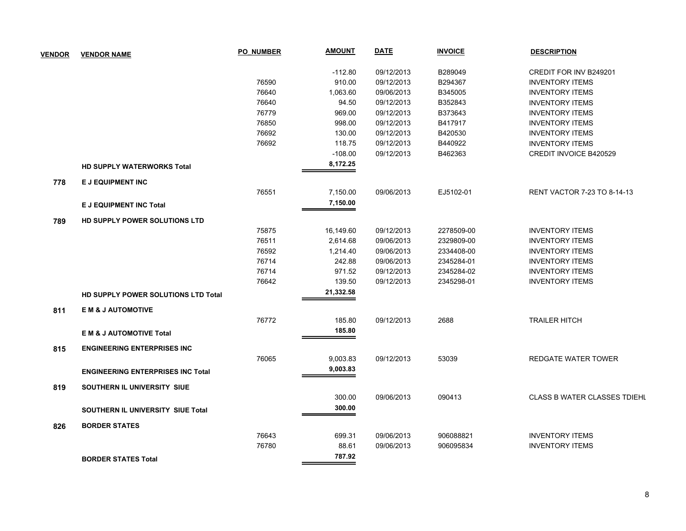| <b>VENDOR</b> | <b>VENDOR NAME</b>                       | <b>PO NUMBER</b> | <b>AMOUNT</b> | <b>DATE</b> | <b>INVOICE</b> | <b>DESCRIPTION</b>                  |
|---------------|------------------------------------------|------------------|---------------|-------------|----------------|-------------------------------------|
|               |                                          |                  | $-112.80$     | 09/12/2013  | B289049        | CREDIT FOR INV B249201              |
|               |                                          | 76590            | 910.00        | 09/12/2013  | B294367        | <b>INVENTORY ITEMS</b>              |
|               |                                          | 76640            | 1,063.60      | 09/06/2013  | B345005        | <b>INVENTORY ITEMS</b>              |
|               |                                          | 76640            | 94.50         | 09/12/2013  | B352843        | <b>INVENTORY ITEMS</b>              |
|               |                                          | 76779            | 969.00        | 09/12/2013  | B373643        | <b>INVENTORY ITEMS</b>              |
|               |                                          | 76850            | 998.00        | 09/12/2013  | B417917        | <b>INVENTORY ITEMS</b>              |
|               |                                          | 76692            | 130.00        | 09/12/2013  | B420530        | <b>INVENTORY ITEMS</b>              |
|               |                                          | 76692            | 118.75        | 09/12/2013  | B440922        | <b>INVENTORY ITEMS</b>              |
|               |                                          |                  | $-108.00$     | 09/12/2013  | B462363        | CREDIT INVOICE B420529              |
|               | <b>HD SUPPLY WATERWORKS Total</b>        |                  | 8,172.25      |             |                |                                     |
| 778           | E J EQUIPMENT INC                        |                  |               |             |                |                                     |
|               |                                          | 76551            | 7,150.00      | 09/06/2013  | EJ5102-01      | <b>RENT VACTOR 7-23 TO 8-14-13</b>  |
|               | <b>E J EQUIPMENT INC Total</b>           |                  | 7,150.00      |             |                |                                     |
| 789           | HD SUPPLY POWER SOLUTIONS LTD            |                  |               |             |                |                                     |
|               |                                          | 75875            | 16,149.60     | 09/12/2013  | 2278509-00     | <b>INVENTORY ITEMS</b>              |
|               |                                          | 76511            | 2,614.68      | 09/06/2013  | 2329809-00     | <b>INVENTORY ITEMS</b>              |
|               |                                          | 76592            | 1,214.40      | 09/06/2013  | 2334408-00     | <b>INVENTORY ITEMS</b>              |
|               |                                          | 76714            | 242.88        | 09/06/2013  | 2345284-01     | <b>INVENTORY ITEMS</b>              |
|               |                                          | 76714            | 971.52        | 09/12/2013  | 2345284-02     | <b>INVENTORY ITEMS</b>              |
|               |                                          | 76642            | 139.50        | 09/12/2013  | 2345298-01     | <b>INVENTORY ITEMS</b>              |
|               | HD SUPPLY POWER SOLUTIONS LTD Total      |                  | 21,332.58     |             |                |                                     |
| 811           | <b>EM &amp; J AUTOMOTIVE</b>             |                  |               |             |                |                                     |
|               |                                          | 76772            | 185.80        | 09/12/2013  | 2688           | <b>TRAILER HITCH</b>                |
|               | <b>EM &amp; J AUTOMOTIVE Total</b>       |                  | 185.80        |             |                |                                     |
| 815           | <b>ENGINEERING ENTERPRISES INC</b>       |                  |               |             |                |                                     |
|               |                                          | 76065            | 9,003.83      | 09/12/2013  | 53039          | <b>REDGATE WATER TOWER</b>          |
|               | <b>ENGINEERING ENTERPRISES INC Total</b> |                  | 9,003.83      |             |                |                                     |
| 819           | SOUTHERN IL UNIVERSITY SIUE              |                  |               |             |                |                                     |
|               |                                          |                  | 300.00        | 09/06/2013  | 090413         | <b>CLASS B WATER CLASSES TDIEHL</b> |
|               | SOUTHERN IL UNIVERSITY SIUE Total        |                  | 300.00        |             |                |                                     |
| 826           | <b>BORDER STATES</b>                     |                  |               |             |                |                                     |
|               |                                          | 76643            | 699.31        | 09/06/2013  | 906088821      | <b>INVENTORY ITEMS</b>              |
|               |                                          | 76780            | 88.61         | 09/06/2013  | 906095834      | <b>INVENTORY ITEMS</b>              |
|               | <b>BORDER STATES Total</b>               |                  | 787.92        |             |                |                                     |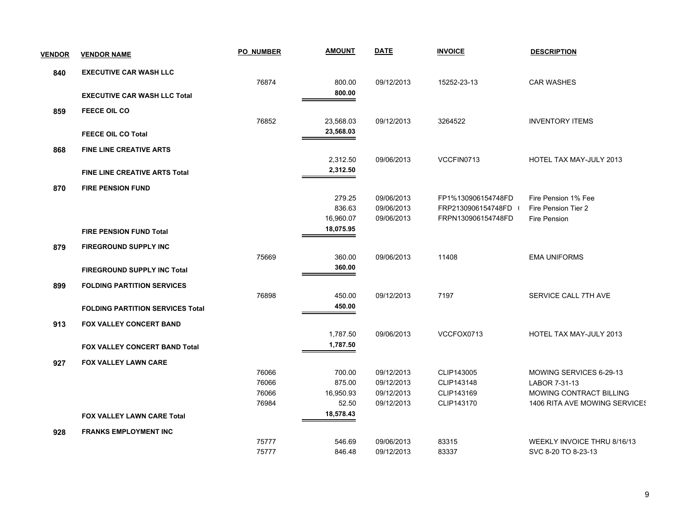| <b>VENDOR</b> | <b>VENDOR NAME</b>                      | <b>PO NUMBER</b> | <b>AMOUNT</b> | <b>DATE</b> | <b>INVOICE</b>     | <b>DESCRIPTION</b>            |
|---------------|-----------------------------------------|------------------|---------------|-------------|--------------------|-------------------------------|
| 840           | <b>EXECUTIVE CAR WASH LLC</b>           |                  |               |             |                    |                               |
|               |                                         | 76874            | 800.00        | 09/12/2013  | 15252-23-13        | <b>CAR WASHES</b>             |
|               | <b>EXECUTIVE CAR WASH LLC Total</b>     |                  | 800.00        |             |                    |                               |
| 859           | <b>FEECE OIL CO</b>                     |                  |               |             |                    |                               |
|               |                                         | 76852            | 23,568.03     | 09/12/2013  | 3264522            | <b>INVENTORY ITEMS</b>        |
|               | <b>FEECE OIL CO Total</b>               |                  | 23,568.03     |             |                    |                               |
| 868           | <b>FINE LINE CREATIVE ARTS</b>          |                  |               |             |                    |                               |
|               |                                         |                  | 2,312.50      | 09/06/2013  | VCCFIN0713         | HOTEL TAX MAY-JULY 2013       |
|               | <b>FINE LINE CREATIVE ARTS Total</b>    |                  | 2,312.50      |             |                    |                               |
| 870           | <b>FIRE PENSION FUND</b>                |                  |               |             |                    |                               |
|               |                                         |                  | 279.25        | 09/06/2013  | FP1%130906154748FD | Fire Pension 1% Fee           |
|               |                                         |                  | 836.63        | 09/06/2013  | FRP2130906154748FD | Fire Pension Tier 2           |
|               |                                         |                  | 16,960.07     | 09/06/2013  | FRPN130906154748FD | Fire Pension                  |
|               | <b>FIRE PENSION FUND Total</b>          |                  | 18,075.95     |             |                    |                               |
| 879           | FIREGROUND SUPPLY INC                   |                  |               |             |                    |                               |
|               |                                         | 75669            | 360.00        | 09/06/2013  | 11408              | <b>EMA UNIFORMS</b>           |
|               | <b>FIREGROUND SUPPLY INC Total</b>      |                  | 360.00        |             |                    |                               |
| 899           | <b>FOLDING PARTITION SERVICES</b>       |                  |               |             |                    |                               |
|               |                                         | 76898            | 450.00        | 09/12/2013  | 7197               | SERVICE CALL 7TH AVE          |
|               | <b>FOLDING PARTITION SERVICES Total</b> |                  | 450.00        |             |                    |                               |
|               |                                         |                  |               |             |                    |                               |
| 913           | <b>FOX VALLEY CONCERT BAND</b>          |                  |               |             |                    |                               |
|               |                                         |                  | 1,787.50      | 09/06/2013  | VCCFOX0713         | HOTEL TAX MAY-JULY 2013       |
|               | FOX VALLEY CONCERT BAND Total           |                  | 1,787.50      |             |                    |                               |
| 927           | <b>FOX VALLEY LAWN CARE</b>             |                  |               |             |                    |                               |
|               |                                         | 76066            | 700.00        | 09/12/2013  | CLIP143005         | MOWING SERVICES 6-29-13       |
|               |                                         | 76066            | 875.00        | 09/12/2013  | CLIP143148         | LABOR 7-31-13                 |
|               |                                         | 76066            | 16,950.93     | 09/12/2013  | CLIP143169         | MOWING CONTRACT BILLING       |
|               |                                         | 76984            | 52.50         | 09/12/2013  | CLIP143170         | 1406 RITA AVE MOWING SERVICES |
|               | <b>FOX VALLEY LAWN CARE Total</b>       |                  | 18,578.43     |             |                    |                               |
| 928           | <b>FRANKS EMPLOYMENT INC</b>            |                  |               |             |                    |                               |
|               |                                         | 75777            | 546.69        | 09/06/2013  | 83315              | WEEKLY INVOICE THRU 8/16/13   |
|               |                                         | 75777            | 846.48        | 09/12/2013  | 83337              | SVC 8-20 TO 8-23-13           |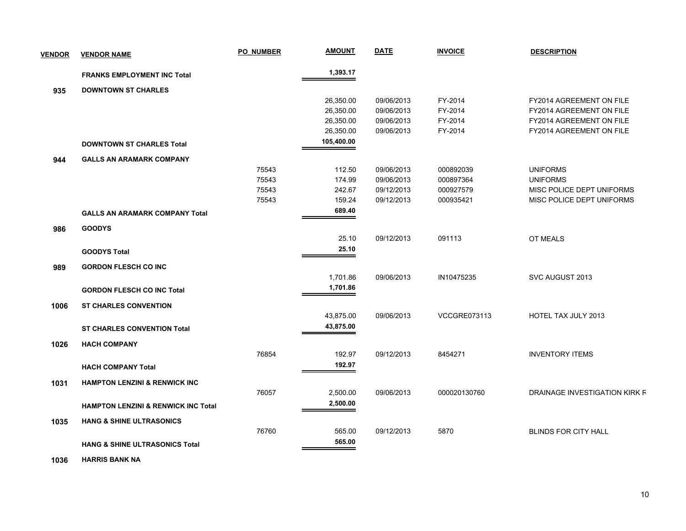| <b>VENDOR</b> | <b>VENDOR NAME</b>                             | <b>PO NUMBER</b> | <b>AMOUNT</b> | <b>DATE</b> | <b>INVOICE</b>      | <b>DESCRIPTION</b>            |
|---------------|------------------------------------------------|------------------|---------------|-------------|---------------------|-------------------------------|
|               | <b>FRANKS EMPLOYMENT INC Total</b>             |                  | 1,393.17      |             |                     |                               |
| 935           | <b>DOWNTOWN ST CHARLES</b>                     |                  |               |             |                     |                               |
|               |                                                |                  | 26,350.00     | 09/06/2013  | FY-2014             | FY2014 AGREEMENT ON FILE      |
|               |                                                |                  | 26,350.00     | 09/06/2013  | FY-2014             | FY2014 AGREEMENT ON FILE      |
|               |                                                |                  | 26,350.00     | 09/06/2013  | FY-2014             | FY2014 AGREEMENT ON FILE      |
|               |                                                |                  | 26,350.00     | 09/06/2013  | FY-2014             | FY2014 AGREEMENT ON FILE      |
|               | <b>DOWNTOWN ST CHARLES Total</b>               |                  | 105,400.00    |             |                     |                               |
| 944           | <b>GALLS AN ARAMARK COMPANY</b>                |                  |               |             |                     |                               |
|               |                                                | 75543            | 112.50        | 09/06/2013  | 000892039           | <b>UNIFORMS</b>               |
|               |                                                | 75543            | 174.99        | 09/06/2013  | 000897364           | <b>UNIFORMS</b>               |
|               |                                                | 75543            | 242.67        | 09/12/2013  | 000927579           | MISC POLICE DEPT UNIFORMS     |
|               |                                                | 75543            | 159.24        | 09/12/2013  | 000935421           | MISC POLICE DEPT UNIFORMS     |
|               | <b>GALLS AN ARAMARK COMPANY Total</b>          |                  | 689.40        |             |                     |                               |
| 986           | <b>GOODYS</b>                                  |                  |               |             |                     |                               |
|               |                                                |                  | 25.10         | 09/12/2013  | 091113              | <b>OT MEALS</b>               |
|               | <b>GOODYS Total</b>                            |                  | 25.10         |             |                     |                               |
| 989           | <b>GORDON FLESCH CO INC</b>                    |                  |               |             |                     |                               |
|               |                                                |                  | 1,701.86      | 09/06/2013  | IN10475235          | SVC AUGUST 2013               |
|               | <b>GORDON FLESCH CO INC Total</b>              |                  | 1,701.86      |             |                     |                               |
| 1006          | <b>ST CHARLES CONVENTION</b>                   |                  |               |             |                     |                               |
|               |                                                |                  | 43,875.00     | 09/06/2013  | <b>VCCGRE073113</b> | <b>HOTEL TAX JULY 2013</b>    |
|               | <b>ST CHARLES CONVENTION Total</b>             |                  | 43,875.00     |             |                     |                               |
|               |                                                |                  |               |             |                     |                               |
| 1026          | <b>HACH COMPANY</b>                            | 76854            | 192.97        | 09/12/2013  | 8454271             | <b>INVENTORY ITEMS</b>        |
|               |                                                |                  | 192.97        |             |                     |                               |
|               | <b>HACH COMPANY Total</b>                      |                  |               |             |                     |                               |
| 1031          | <b>HAMPTON LENZINI &amp; RENWICK INC</b>       |                  |               |             |                     |                               |
|               |                                                | 76057            | 2,500.00      | 09/06/2013  | 000020130760        | DRAINAGE INVESTIGATION KIRK F |
|               | <b>HAMPTON LENZINI &amp; RENWICK INC Total</b> |                  | 2,500.00      |             |                     |                               |
| 1035          | <b>HANG &amp; SHINE ULTRASONICS</b>            |                  |               |             |                     |                               |
|               |                                                | 76760            | 565.00        | 09/12/2013  | 5870                | <b>BLINDS FOR CITY HALL</b>   |
|               | <b>HANG &amp; SHINE ULTRASONICS Total</b>      |                  | 565.00        |             |                     |                               |
|               |                                                |                  |               |             |                     |                               |

 **1036 HARRIS BANK NA**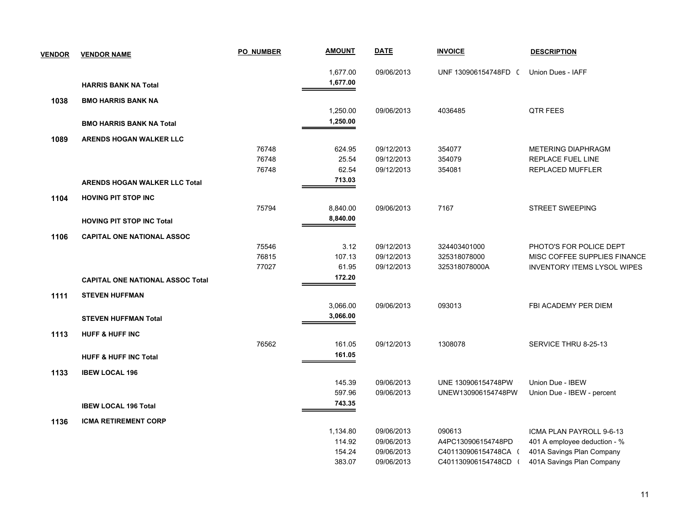| <b>VENDOR</b> | <b>VENDOR NAME</b>                      | <b>PO NUMBER</b> | <b>AMOUNT</b>      | <b>DATE</b>              | <b>INVOICE</b>       | <b>DESCRIPTION</b>                                       |
|---------------|-----------------------------------------|------------------|--------------------|--------------------------|----------------------|----------------------------------------------------------|
|               |                                         |                  | 1,677.00           | 09/06/2013               | UNF 130906154748FD ( | Union Dues - IAFF                                        |
|               | <b>HARRIS BANK NA Total</b>             |                  | 1,677.00           |                          |                      |                                                          |
| 1038          | <b>BMO HARRIS BANK NA</b>               |                  |                    |                          |                      |                                                          |
|               |                                         |                  | 1,250.00           | 09/06/2013               | 4036485              | QTR FEES                                                 |
|               | <b>BMO HARRIS BANK NA Total</b>         |                  | 1,250.00           |                          |                      |                                                          |
| 1089          | ARENDS HOGAN WALKER LLC                 |                  |                    |                          |                      |                                                          |
|               |                                         | 76748            | 624.95             | 09/12/2013               | 354077               | <b>METERING DIAPHRAGM</b>                                |
|               |                                         | 76748            | 25.54              | 09/12/2013               | 354079               | REPLACE FUEL LINE                                        |
|               |                                         | 76748            | 62.54              | 09/12/2013               | 354081               | REPLACED MUFFLER                                         |
|               | <b>ARENDS HOGAN WALKER LLC Total</b>    |                  | 713.03             |                          |                      |                                                          |
| 1104          | <b>HOVING PIT STOP INC</b>              |                  |                    |                          |                      |                                                          |
|               |                                         | 75794            | 8,840.00           | 09/06/2013               | 7167                 | <b>STREET SWEEPING</b>                                   |
|               | <b>HOVING PIT STOP INC Total</b>        |                  | 8,840.00           |                          |                      |                                                          |
| 1106          | <b>CAPITAL ONE NATIONAL ASSOC</b>       |                  |                    |                          |                      |                                                          |
|               |                                         | 75546            | 3.12               | 09/12/2013               | 324403401000         | PHOTO'S FOR POLICE DEPT                                  |
|               |                                         | 76815            | 107.13             | 09/12/2013               | 325318078000         | MISC COFFEE SUPPLIES FINANCE                             |
|               |                                         | 77027            | 61.95              | 09/12/2013               | 325318078000A        | <b>INVENTORY ITEMS LYSOL WIPES</b>                       |
|               | <b>CAPITAL ONE NATIONAL ASSOC Total</b> |                  | 172.20             |                          |                      |                                                          |
| 1111          | <b>STEVEN HUFFMAN</b>                   |                  |                    |                          |                      |                                                          |
|               |                                         |                  | 3,066.00           | 09/06/2013               | 093013               | FBI ACADEMY PER DIEM                                     |
|               | <b>STEVEN HUFFMAN Total</b>             |                  | 3,066.00           |                          |                      |                                                          |
|               |                                         |                  |                    |                          |                      |                                                          |
| 1113          | <b>HUFF &amp; HUFF INC</b>              | 76562            | 161.05             | 09/12/2013               | 1308078              | SERVICE THRU 8-25-13                                     |
|               | <b>HUFF &amp; HUFF INC Total</b>        |                  | 161.05             |                          |                      |                                                          |
|               |                                         |                  |                    |                          |                      |                                                          |
| 1133          | <b>IBEW LOCAL 196</b>                   |                  | 145.39             | 09/06/2013               | UNE 130906154748PW   | Union Due - IBEW                                         |
|               |                                         |                  | 597.96             | 09/06/2013               | UNEW130906154748PW   | Union Due - IBEW - percent                               |
|               | <b>IBEW LOCAL 196 Total</b>             |                  | 743.35             |                          |                      |                                                          |
|               |                                         |                  |                    |                          |                      |                                                          |
| 1136          | <b>ICMA RETIREMENT CORP</b>             |                  |                    |                          | 090613               |                                                          |
|               |                                         |                  | 1,134.80<br>114.92 | 09/06/2013<br>09/06/2013 | A4PC130906154748PD   | ICMA PLAN PAYROLL 9-6-13<br>401 A employee deduction - % |
|               |                                         |                  | 154.24             | 09/06/2013               | C401130906154748CA ( | 401A Savings Plan Company                                |
|               |                                         |                  | 383.07             | 09/06/2013               | C401130906154748CD ( | 401A Savings Plan Company                                |
|               |                                         |                  |                    |                          |                      |                                                          |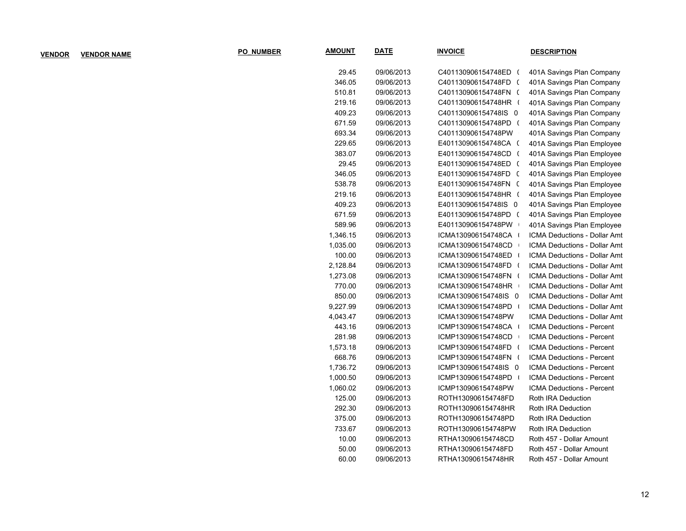| <b>PO NUMBER</b> | <b>AMOUNT</b> | <b>DATE</b> | <b>INVOICE</b>       | <b>DESCRIPTION</b>                  |
|------------------|---------------|-------------|----------------------|-------------------------------------|
|                  | 29.45         | 09/06/2013  | C401130906154748ED ( | 401A Savings Plan Company           |
|                  | 346.05        | 09/06/2013  | C401130906154748FD ( | 401A Savings Plan Company           |
|                  | 510.81        | 09/06/2013  | C401130906154748FN ( | 401A Savings Plan Company           |
|                  | 219.16        | 09/06/2013  | C401130906154748HR ( | 401A Savings Plan Company           |
|                  | 409.23        | 09/06/2013  | C401130906154748IS 0 | 401A Savings Plan Company           |
|                  | 671.59        | 09/06/2013  | C401130906154748PD ( | 401A Savings Plan Company           |
|                  | 693.34        | 09/06/2013  | C401130906154748PW   | 401A Savings Plan Company           |
|                  | 229.65        | 09/06/2013  | E401130906154748CA ( | 401A Savings Plan Employee          |
|                  | 383.07        | 09/06/2013  | E401130906154748CD ( | 401A Savings Plan Employee          |
|                  | 29.45         | 09/06/2013  | E401130906154748ED ( | 401A Savings Plan Employee          |
|                  | 346.05        | 09/06/2013  | E401130906154748FD ( | 401A Savings Plan Employee          |
|                  | 538.78        | 09/06/2013  | E401130906154748FN ( | 401A Savings Plan Employee          |
|                  | 219.16        | 09/06/2013  | E401130906154748HR ( | 401A Savings Plan Employee          |
|                  | 409.23        | 09/06/2013  | E401130906154748IS 0 | 401A Savings Plan Employee          |
|                  | 671.59        | 09/06/2013  | E401130906154748PD ( | 401A Savings Plan Employee          |
|                  | 589.96        | 09/06/2013  | E401130906154748PW   | 401A Savings Plan Employee          |
|                  | 1,346.15      | 09/06/2013  | ICMA130906154748CA   | ICMA Deductions - Dollar Amt        |
|                  | 1,035.00      | 09/06/2013  | ICMA130906154748CD   | <b>ICMA Deductions - Dollar Amt</b> |
|                  | 100.00        | 09/06/2013  | ICMA130906154748ED   | <b>ICMA Deductions - Dollar Amt</b> |
|                  | 2,128.84      | 09/06/2013  | ICMA130906154748FD   | <b>ICMA Deductions - Dollar Amt</b> |
|                  | 1,273.08      | 09/06/2013  | ICMA130906154748FN ( | <b>ICMA Deductions - Dollar Amt</b> |
|                  | 770.00        | 09/06/2013  | ICMA130906154748HR   | <b>ICMA Deductions - Dollar Amt</b> |
|                  | 850.00        | 09/06/2013  | ICMA130906154748IS 0 | <b>ICMA Deductions - Dollar Amt</b> |
|                  | 9,227.99      | 09/06/2013  | ICMA130906154748PD   | <b>ICMA Deductions - Dollar Amt</b> |
|                  | 4,043.47      | 09/06/2013  | ICMA130906154748PW   | <b>ICMA Deductions - Dollar Amt</b> |
|                  | 443.16        | 09/06/2013  | ICMP130906154748CA   | ICMA Deductions - Percent           |
|                  | 281.98        | 09/06/2013  | ICMP130906154748CD   | ICMA Deductions - Percent           |
|                  | 1,573.18      | 09/06/2013  | ICMP130906154748FD ( | <b>ICMA Deductions - Percent</b>    |
|                  | 668.76        | 09/06/2013  | ICMP130906154748FN ( | <b>ICMA Deductions - Percent</b>    |
|                  | 1,736.72      | 09/06/2013  | ICMP130906154748IS 0 | ICMA Deductions - Percent           |
|                  | 1,000.50      | 09/06/2013  | ICMP130906154748PD   | ICMA Deductions - Percent           |
|                  | 1,060.02      | 09/06/2013  | ICMP130906154748PW   | ICMA Deductions - Percent           |
|                  | 125.00        | 09/06/2013  | ROTH130906154748FD   | Roth IRA Deduction                  |
|                  | 292.30        | 09/06/2013  | ROTH130906154748HR   | Roth IRA Deduction                  |
|                  | 375.00        | 09/06/2013  | ROTH130906154748PD   | Roth IRA Deduction                  |
|                  | 733.67        | 09/06/2013  | ROTH130906154748PW   | Roth IRA Deduction                  |
|                  | 10.00         | 09/06/2013  | RTHA130906154748CD   | Roth 457 - Dollar Amount            |
|                  | 50.00         | 09/06/2013  | RTHA130906154748FD   | Roth 457 - Dollar Amount            |
|                  | 60.00         | 09/06/2013  | RTHA130906154748HR   | Roth 457 - Dollar Amount            |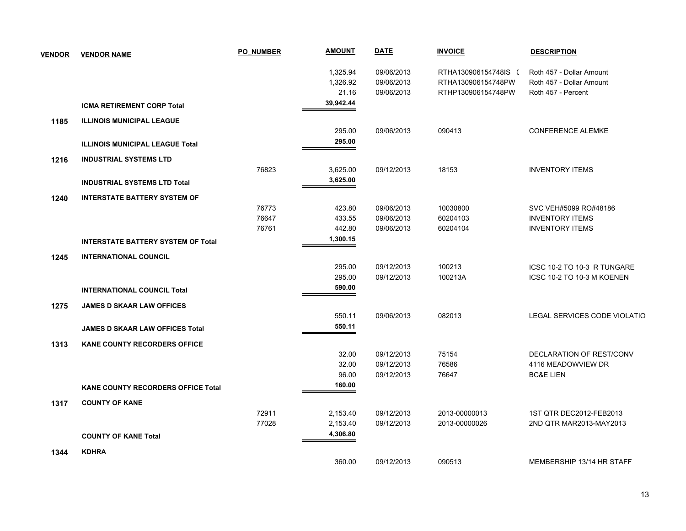| <b>VENDOR</b> | <b>VENDOR NAME</b>                        | <b>PO NUMBER</b> | <b>AMOUNT</b> | <b>DATE</b> | <b>INVOICE</b>       | <b>DESCRIPTION</b>           |
|---------------|-------------------------------------------|------------------|---------------|-------------|----------------------|------------------------------|
|               |                                           |                  | 1,325.94      | 09/06/2013  | RTHA130906154748IS ( | Roth 457 - Dollar Amount     |
|               |                                           |                  | 1,326.92      | 09/06/2013  | RTHA130906154748PW   | Roth 457 - Dollar Amount     |
|               |                                           |                  | 21.16         | 09/06/2013  | RTHP130906154748PW   | Roth 457 - Percent           |
|               | <b>ICMA RETIREMENT CORP Total</b>         |                  | 39,942.44     |             |                      |                              |
| 1185          | <b>ILLINOIS MUNICIPAL LEAGUE</b>          |                  |               |             |                      |                              |
|               |                                           |                  | 295.00        | 09/06/2013  | 090413               | <b>CONFERENCE ALEMKE</b>     |
|               | <b>ILLINOIS MUNICIPAL LEAGUE Total</b>    |                  | 295.00        |             |                      |                              |
| 1216          | <b>INDUSTRIAL SYSTEMS LTD</b>             |                  |               |             |                      |                              |
|               |                                           | 76823            | 3,625.00      | 09/12/2013  | 18153                | <b>INVENTORY ITEMS</b>       |
|               | <b>INDUSTRIAL SYSTEMS LTD Total</b>       |                  | 3,625.00      |             |                      |                              |
| 1240          | <b>INTERSTATE BATTERY SYSTEM OF</b>       |                  |               |             |                      |                              |
|               |                                           | 76773            | 423.80        | 09/06/2013  | 10030800             | SVC VEH#5099 RO#48186        |
|               |                                           | 76647            | 433.55        | 09/06/2013  | 60204103             | <b>INVENTORY ITEMS</b>       |
|               |                                           | 76761            | 442.80        | 09/06/2013  | 60204104             | <b>INVENTORY ITEMS</b>       |
|               | <b>INTERSTATE BATTERY SYSTEM OF Total</b> |                  | 1,300.15      |             |                      |                              |
| 1245          | <b>INTERNATIONAL COUNCIL</b>              |                  |               |             |                      |                              |
|               |                                           |                  | 295.00        | 09/12/2013  | 100213               | ICSC 10-2 TO 10-3 R TUNGARE  |
|               |                                           |                  | 295.00        | 09/12/2013  | 100213A              | ICSC 10-2 TO 10-3 M KOENEN   |
|               | <b>INTERNATIONAL COUNCIL Total</b>        |                  | 590.00        |             |                      |                              |
| 1275          | <b>JAMES D SKAAR LAW OFFICES</b>          |                  |               |             |                      |                              |
|               |                                           |                  | 550.11        | 09/06/2013  | 082013               | LEGAL SERVICES CODE VIOLATIO |
|               | <b>JAMES D SKAAR LAW OFFICES Total</b>    |                  | 550.11        |             |                      |                              |
| 1313          | <b>KANE COUNTY RECORDERS OFFICE</b>       |                  |               |             |                      |                              |
|               |                                           |                  | 32.00         | 09/12/2013  | 75154                | DECLARATION OF REST/CONV     |
|               |                                           |                  | 32.00         | 09/12/2013  | 76586                | 4116 MEADOWVIEW DR           |
|               |                                           |                  | 96.00         | 09/12/2013  | 76647                | <b>BC&amp;E LIEN</b>         |
|               | <b>KANE COUNTY RECORDERS OFFICE Total</b> |                  | 160.00        |             |                      |                              |
| 1317          | <b>COUNTY OF KANE</b>                     |                  |               |             |                      |                              |
|               |                                           | 72911            | 2,153.40      | 09/12/2013  | 2013-00000013        | 1ST QTR DEC2012-FEB2013      |
|               |                                           | 77028            | 2,153.40      | 09/12/2013  | 2013-00000026        | 2ND QTR MAR2013-MAY2013      |
|               | <b>COUNTY OF KANE Total</b>               |                  | 4,306.80      |             |                      |                              |
| 1344          | <b>KDHRA</b>                              |                  |               |             |                      |                              |
|               |                                           |                  | 360.00        | 09/12/2013  | 090513               | MEMBERSHIP 13/14 HR STAFF    |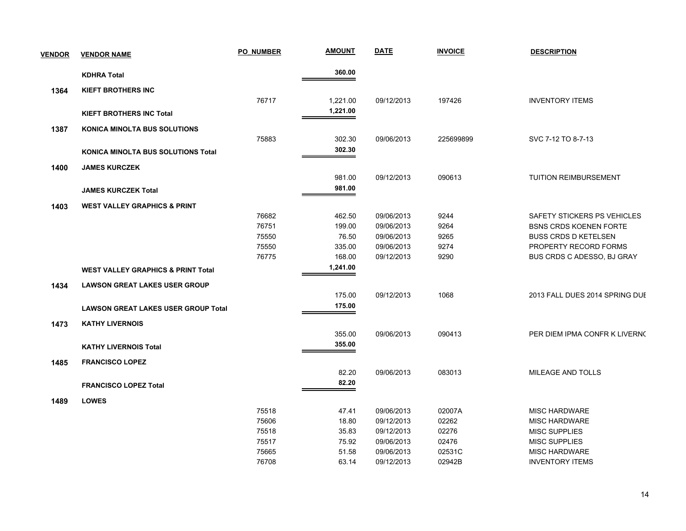| <b>VENDOR</b> | <b>VENDOR NAME</b>                            | <b>PO NUMBER</b> | <b>AMOUNT</b> | <b>DATE</b> | <b>INVOICE</b> | <b>DESCRIPTION</b>             |
|---------------|-----------------------------------------------|------------------|---------------|-------------|----------------|--------------------------------|
|               | <b>KDHRA Total</b>                            |                  | 360.00        |             |                |                                |
| 1364          | <b>KIEFT BROTHERS INC</b>                     |                  |               |             |                |                                |
|               |                                               | 76717            | 1,221.00      | 09/12/2013  | 197426         | <b>INVENTORY ITEMS</b>         |
|               | <b>KIEFT BROTHERS INC Total</b>               |                  | 1,221.00      |             |                |                                |
|               |                                               |                  |               |             |                |                                |
| 1387          | <b>KONICA MINOLTA BUS SOLUTIONS</b>           |                  |               |             |                |                                |
|               |                                               | 75883            | 302.30        | 09/06/2013  | 225699899      | SVC 7-12 TO 8-7-13             |
|               | KONICA MINOLTA BUS SOLUTIONS Total            |                  | 302.30        |             |                |                                |
| 1400          | <b>JAMES KURCZEK</b>                          |                  |               |             |                |                                |
|               |                                               |                  | 981.00        | 09/12/2013  | 090613         | <b>TUITION REIMBURSEMENT</b>   |
|               | <b>JAMES KURCZEK Total</b>                    |                  | 981.00        |             |                |                                |
|               | <b>WEST VALLEY GRAPHICS &amp; PRINT</b>       |                  |               |             |                |                                |
| 1403          |                                               | 76682            | 462.50        | 09/06/2013  | 9244           | SAFETY STICKERS PS VEHICLES    |
|               |                                               | 76751            | 199.00        | 09/06/2013  | 9264           | <b>BSNS CRDS KOENEN FORTE</b>  |
|               |                                               | 75550            | 76.50         | 09/06/2013  | 9265           | <b>BUSS CRDS D KETELSEN</b>    |
|               |                                               | 75550            | 335.00        | 09/06/2013  | 9274           | PROPERTY RECORD FORMS          |
|               |                                               | 76775            | 168.00        | 09/12/2013  | 9290           | BUS CRDS C ADESSO, BJ GRAY     |
|               | <b>WEST VALLEY GRAPHICS &amp; PRINT Total</b> |                  | 1,241.00      |             |                |                                |
| 1434          | <b>LAWSON GREAT LAKES USER GROUP</b>          |                  |               |             |                |                                |
|               |                                               |                  | 175.00        | 09/12/2013  | 1068           | 2013 FALL DUES 2014 SPRING DUE |
|               | <b>LAWSON GREAT LAKES USER GROUP Total</b>    |                  | 175.00        |             |                |                                |
|               |                                               |                  |               |             |                |                                |
| 1473          | <b>KATHY LIVERNOIS</b>                        |                  |               |             |                |                                |
|               |                                               |                  | 355.00        | 09/06/2013  | 090413         | PER DIEM IPMA CONFR K LIVERNO  |
|               | <b>KATHY LIVERNOIS Total</b>                  |                  | 355.00        |             |                |                                |
| 1485          | <b>FRANCISCO LOPEZ</b>                        |                  |               |             |                |                                |
|               |                                               |                  | 82.20         | 09/06/2013  | 083013         | MILEAGE AND TOLLS              |
|               | <b>FRANCISCO LOPEZ Total</b>                  |                  | 82.20         |             |                |                                |
| 1489          | <b>LOWES</b>                                  |                  |               |             |                |                                |
|               |                                               | 75518            | 47.41         | 09/06/2013  | 02007A         | <b>MISC HARDWARE</b>           |
|               |                                               | 75606            | 18.80         | 09/12/2013  | 02262          | <b>MISC HARDWARE</b>           |
|               |                                               | 75518            | 35.83         | 09/12/2013  | 02276          | MISC SUPPLIES                  |
|               |                                               | 75517            | 75.92         | 09/06/2013  | 02476          | MISC SUPPLIES                  |
|               |                                               | 75665            | 51.58         | 09/06/2013  | 02531C         | <b>MISC HARDWARE</b>           |
|               |                                               | 76708            | 63.14         | 09/12/2013  | 02942B         | <b>INVENTORY ITEMS</b>         |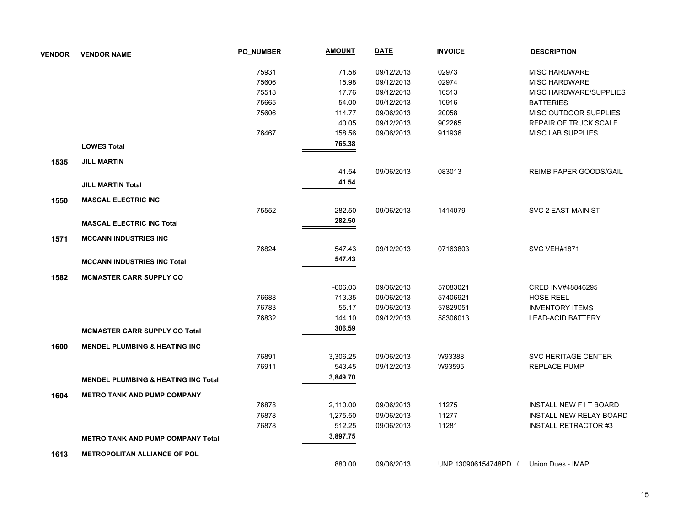| <b>VENDOR</b> | <b>VENDOR NAME</b>                             | <b>PO NUMBER</b> | <b>AMOUNT</b> | <b>DATE</b> | <b>INVOICE</b>       | <b>DESCRIPTION</b>             |
|---------------|------------------------------------------------|------------------|---------------|-------------|----------------------|--------------------------------|
|               |                                                | 75931            | 71.58         | 09/12/2013  | 02973                | <b>MISC HARDWARE</b>           |
|               |                                                | 75606            | 15.98         | 09/12/2013  | 02974                | <b>MISC HARDWARE</b>           |
|               |                                                | 75518            | 17.76         | 09/12/2013  | 10513                | MISC HARDWARE/SUPPLIES         |
|               |                                                | 75665            | 54.00         | 09/12/2013  | 10916                | <b>BATTERIES</b>               |
|               |                                                | 75606            | 114.77        | 09/06/2013  | 20058                | MISC OUTDOOR SUPPLIES          |
|               |                                                |                  | 40.05         | 09/12/2013  | 902265               | <b>REPAIR OF TRUCK SCALE</b>   |
|               |                                                | 76467            | 158.56        | 09/06/2013  | 911936               | <b>MISC LAB SUPPLIES</b>       |
|               | <b>LOWES Total</b>                             |                  | 765.38        |             |                      |                                |
| 1535          | <b>JILL MARTIN</b>                             |                  |               |             |                      |                                |
|               |                                                |                  | 41.54         | 09/06/2013  | 083013               | <b>REIMB PAPER GOODS/GAIL</b>  |
|               | <b>JILL MARTIN Total</b>                       |                  | 41.54         |             |                      |                                |
| 1550          | <b>MASCAL ELECTRIC INC</b>                     |                  |               |             |                      |                                |
|               |                                                | 75552            | 282.50        | 09/06/2013  | 1414079              | SVC 2 EAST MAIN ST             |
|               | <b>MASCAL ELECTRIC INC Total</b>               |                  | 282.50        |             |                      |                                |
| 1571          | <b>MCCANN INDUSTRIES INC</b>                   |                  |               |             |                      |                                |
|               |                                                | 76824            | 547.43        | 09/12/2013  | 07163803             | <b>SVC VEH#1871</b>            |
|               | <b>MCCANN INDUSTRIES INC Total</b>             |                  | 547.43        |             |                      |                                |
| 1582          | <b>MCMASTER CARR SUPPLY CO</b>                 |                  |               |             |                      |                                |
|               |                                                |                  | $-606.03$     | 09/06/2013  | 57083021             | CRED INV#48846295              |
|               |                                                | 76688            | 713.35        | 09/06/2013  | 57406921             | <b>HOSE REEL</b>               |
|               |                                                | 76783            | 55.17         | 09/06/2013  | 57829051             | <b>INVENTORY ITEMS</b>         |
|               |                                                | 76832            | 144.10        | 09/12/2013  | 58306013             | <b>LEAD-ACID BATTERY</b>       |
|               | <b>MCMASTER CARR SUPPLY CO Total</b>           |                  | 306.59        |             |                      |                                |
| 1600          | <b>MENDEL PLUMBING &amp; HEATING INC.</b>      |                  |               |             |                      |                                |
|               |                                                | 76891            | 3,306.25      | 09/06/2013  | W93388               | SVC HERITAGE CENTER            |
|               |                                                | 76911            | 543.45        | 09/12/2013  | W93595               | <b>REPLACE PUMP</b>            |
|               | <b>MENDEL PLUMBING &amp; HEATING INC Total</b> |                  | 3,849.70      |             |                      |                                |
| 1604          | <b>METRO TANK AND PUMP COMPANY</b>             |                  |               |             |                      |                                |
|               |                                                | 76878            | 2,110.00      | 09/06/2013  | 11275                | <b>INSTALL NEW FIT BOARD</b>   |
|               |                                                | 76878            | 1,275.50      | 09/06/2013  | 11277                | <b>INSTALL NEW RELAY BOARD</b> |
|               |                                                | 76878            | 512.25        | 09/06/2013  | 11281                | <b>INSTALL RETRACTOR #3</b>    |
|               | <b>METRO TANK AND PUMP COMPANY Total</b>       |                  | 3,897.75      |             |                      |                                |
| 1613          | <b>METROPOLITAN ALLIANCE OF POL</b>            |                  |               |             |                      |                                |
|               |                                                |                  | 880.00        | 09/06/2013  | UNP 130906154748PD ( | Union Dues - IMAP              |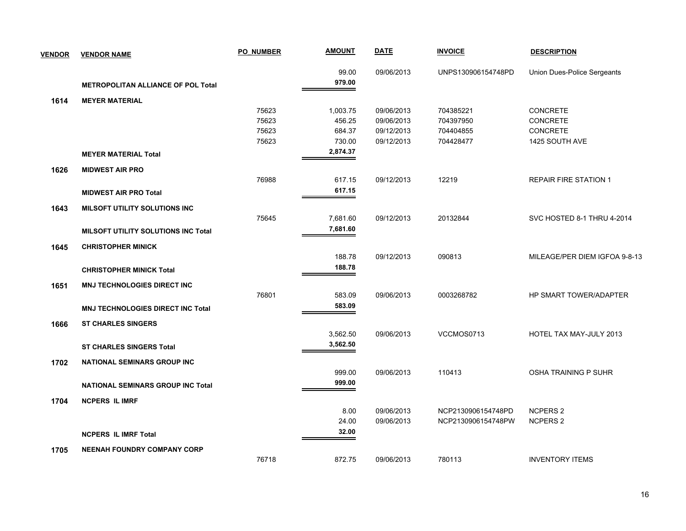| <b>VENDOR</b> | <b>VENDOR NAME</b>                         | <b>PO NUMBER</b> | <b>AMOUNT</b> | <b>DATE</b> | <b>INVOICE</b>     | <b>DESCRIPTION</b>            |
|---------------|--------------------------------------------|------------------|---------------|-------------|--------------------|-------------------------------|
|               |                                            |                  | 99.00         | 09/06/2013  | UNPS130906154748PD | Union Dues-Police Sergeants   |
|               | <b>METROPOLITAN ALLIANCE OF POL Total</b>  |                  | 979.00        |             |                    |                               |
| 1614          | <b>MEYER MATERIAL</b>                      |                  |               |             |                    |                               |
|               |                                            | 75623            | 1,003.75      | 09/06/2013  | 704385221          | <b>CONCRETE</b>               |
|               |                                            | 75623            | 456.25        | 09/06/2013  | 704397950          | CONCRETE                      |
|               |                                            | 75623            | 684.37        | 09/12/2013  | 704404855          | CONCRETE                      |
|               |                                            | 75623            | 730.00        | 09/12/2013  | 704428477          | 1425 SOUTH AVE                |
|               | <b>MEYER MATERIAL Total</b>                |                  | 2,874.37      |             |                    |                               |
| 1626          | <b>MIDWEST AIR PRO</b>                     |                  |               |             |                    |                               |
|               |                                            | 76988            | 617.15        | 09/12/2013  | 12219              | <b>REPAIR FIRE STATION 1</b>  |
|               | <b>MIDWEST AIR PRO Total</b>               |                  | 617.15        |             |                    |                               |
| 1643          | MILSOFT UTILITY SOLUTIONS INC              |                  |               |             |                    |                               |
|               |                                            | 75645            | 7,681.60      | 09/12/2013  | 20132844           | SVC HOSTED 8-1 THRU 4-2014    |
|               | <b>MILSOFT UTILITY SOLUTIONS INC Total</b> |                  | 7,681.60      |             |                    |                               |
| 1645          | <b>CHRISTOPHER MINICK</b>                  |                  |               |             |                    |                               |
|               |                                            |                  | 188.78        | 09/12/2013  | 090813             | MILEAGE/PER DIEM IGFOA 9-8-13 |
|               | <b>CHRISTOPHER MINICK Total</b>            |                  | 188.78        |             |                    |                               |
| 1651          | MNJ TECHNOLOGIES DIRECT INC                |                  |               |             |                    |                               |
|               |                                            | 76801            | 583.09        | 09/06/2013  | 0003268782         | HP SMART TOWER/ADAPTER        |
|               | MNJ TECHNOLOGIES DIRECT INC Total          |                  | 583.09        |             |                    |                               |
| 1666          | <b>ST CHARLES SINGERS</b>                  |                  |               |             |                    |                               |
|               |                                            |                  | 3,562.50      | 09/06/2013  | VCCMOS0713         | HOTEL TAX MAY-JULY 2013       |
|               | <b>ST CHARLES SINGERS Total</b>            |                  | 3,562.50      |             |                    |                               |
| 1702          | <b>NATIONAL SEMINARS GROUP INC</b>         |                  |               |             |                    |                               |
|               |                                            |                  | 999.00        | 09/06/2013  | 110413             | <b>OSHA TRAINING P SUHR</b>   |
|               | <b>NATIONAL SEMINARS GROUP INC Total</b>   |                  | 999.00        |             |                    |                               |
| 1704          | <b>NCPERS IL IMRF</b>                      |                  |               |             |                    |                               |
|               |                                            |                  | 8.00          | 09/06/2013  | NCP2130906154748PD | <b>NCPERS 2</b>               |
|               |                                            |                  | 24.00         | 09/06/2013  | NCP2130906154748PW | <b>NCPERS 2</b>               |
|               | <b>NCPERS IL IMRF Total</b>                |                  | 32.00         |             |                    |                               |
| 1705          | <b>NEENAH FOUNDRY COMPANY CORP</b>         |                  |               |             |                    |                               |
|               |                                            | 76718            | 872.75        | 09/06/2013  | 780113             | <b>INVENTORY ITEMS</b>        |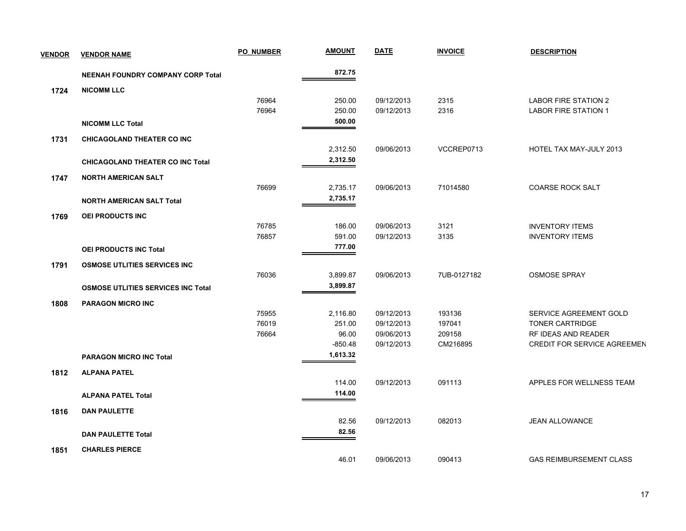| <b>VENDOR</b> | <b>VENDOR NAME</b>                        | <b>PO NUMBER</b> | <u>AMOUNT</u> | <b>DATE</b> | <b>INVOICE</b> | <b>DESCRIPTION</b>                 |
|---------------|-------------------------------------------|------------------|---------------|-------------|----------------|------------------------------------|
|               | <b>NEENAH FOUNDRY COMPANY CORP Total</b>  |                  | 872.75        |             |                |                                    |
| 1724          | <b>NICOMM LLC</b>                         |                  |               |             |                |                                    |
|               |                                           | 76964            | 250.00        | 09/12/2013  | 2315           | <b>LABOR FIRE STATION 2</b>        |
|               |                                           | 76964            | 250.00        | 09/12/2013  | 2316           | <b>LABOR FIRE STATION 1</b>        |
|               | <b>NICOMM LLC Total</b>                   |                  | 500.00        |             |                |                                    |
| 1731          | <b>CHICAGOLAND THEATER CO INC</b>         |                  |               |             |                |                                    |
|               |                                           |                  | 2,312.50      | 09/06/2013  | VCCREP0713     | HOTEL TAX MAY-JULY 2013            |
|               | <b>CHICAGOLAND THEATER CO INC Total</b>   |                  | 2,312.50      |             |                |                                    |
| 1747          | <b>NORTH AMERICAN SALT</b>                |                  |               |             |                |                                    |
|               |                                           | 76699            | 2,735.17      | 09/06/2013  | 71014580       | <b>COARSE ROCK SALT</b>            |
|               | <b>NORTH AMERICAN SALT Total</b>          |                  | 2,735.17      |             |                |                                    |
| 1769          | <b>OEI PRODUCTS INC</b>                   |                  |               |             |                |                                    |
|               |                                           | 76785            | 186.00        | 09/06/2013  | 3121           | <b>INVENTORY ITEMS</b>             |
|               |                                           | 76857            | 591.00        | 09/12/2013  | 3135           | <b>INVENTORY ITEMS</b>             |
|               | OEI PRODUCTS INC Total                    |                  | 777.00        |             |                |                                    |
| 1791          | <b>OSMOSE UTLITIES SERVICES INC.</b>      |                  |               |             |                |                                    |
|               |                                           | 76036            | 3,899.87      | 09/06/2013  | 7UB-0127182    | <b>OSMOSE SPRAY</b>                |
|               | <b>OSMOSE UTLITIES SERVICES INC Total</b> |                  | 3,899.87      |             |                |                                    |
| 1808          | <b>PARAGON MICRO INC</b>                  |                  |               |             |                |                                    |
|               |                                           | 75955            | 2,116.80      | 09/12/2013  | 193136         | SERVICE AGREEMENT GOLD             |
|               |                                           | 76019            | 251.00        | 09/12/2013  | 197041         | TONER CARTRIDGE                    |
|               |                                           | 76664            | 96.00         | 09/06/2013  | 209158         | RF IDEAS AND READER                |
|               |                                           |                  | $-850.48$     | 09/12/2013  | CM216895       | <b>CREDIT FOR SERVICE AGREEMEN</b> |
|               | <b>PARAGON MICRO INC Total</b>            |                  | 1,613.32      |             |                |                                    |
| 1812          | <b>ALPANA PATEL</b>                       |                  |               |             |                |                                    |
|               |                                           |                  | 114.00        | 09/12/2013  | 091113         | APPLES FOR WELLNESS TEAM           |
|               | <b>ALPANA PATEL Total</b>                 |                  | 114.00        |             |                |                                    |
| 1816          | <b>DAN PAULETTE</b>                       |                  |               |             |                |                                    |
|               |                                           |                  | 82.56         | 09/12/2013  | 082013         | <b>JEAN ALLOWANCE</b>              |
|               | <b>DAN PAULETTE Total</b>                 |                  | 82.56         |             |                |                                    |
| 1851          | <b>CHARLES PIERCE</b>                     |                  |               |             |                |                                    |
|               |                                           |                  | 46.01         | 09/06/2013  | 090413         | <b>GAS REIMBURSEMENT CLASS</b>     |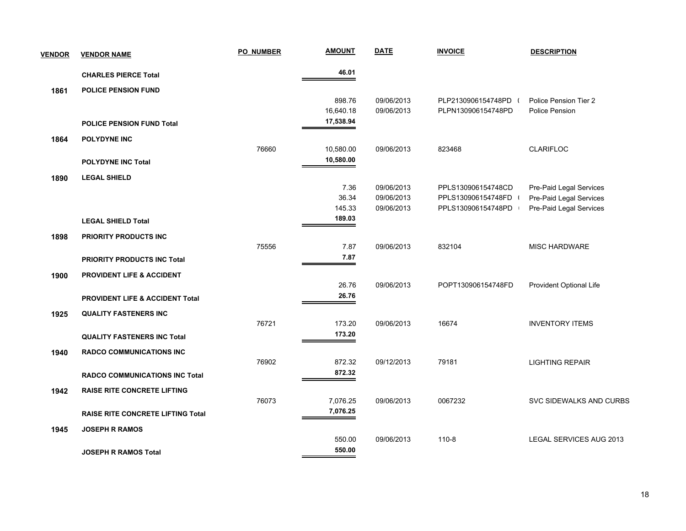| <b>VENDOR</b> | <b>VENDOR NAME</b>                         | <b>PO NUMBER</b> | <b>AMOUNT</b> | <u>DATE</u> | <b>INVOICE</b>       | <b>DESCRIPTION</b>             |
|---------------|--------------------------------------------|------------------|---------------|-------------|----------------------|--------------------------------|
|               | <b>CHARLES PIERCE Total</b>                |                  | 46.01         |             |                      |                                |
| 1861          | <b>POLICE PENSION FUND</b>                 |                  |               |             |                      |                                |
|               |                                            |                  | 898.76        | 09/06/2013  | PLP2130906154748PD ( | Police Pension Tier 2          |
|               |                                            |                  | 16,640.18     | 09/06/2013  | PLPN130906154748PD   | Police Pension                 |
|               | <b>POLICE PENSION FUND Total</b>           |                  | 17,538.94     |             |                      |                                |
| 1864          | <b>POLYDYNE INC</b>                        |                  |               |             |                      |                                |
|               |                                            | 76660            | 10,580.00     | 09/06/2013  | 823468               | <b>CLARIFLOC</b>               |
|               | <b>POLYDYNE INC Total</b>                  |                  | 10,580.00     |             |                      |                                |
| 1890          | <b>LEGAL SHIELD</b>                        |                  |               |             |                      |                                |
|               |                                            |                  | 7.36          | 09/06/2013  | PPLS130906154748CD   | Pre-Paid Legal Services        |
|               |                                            |                  | 36.34         | 09/06/2013  | PPLS130906154748FD   | Pre-Paid Legal Services        |
|               |                                            |                  | 145.33        | 09/06/2013  | PPLS130906154748PD   | Pre-Paid Legal Services        |
|               | <b>LEGAL SHIELD Total</b>                  |                  | 189.03        |             |                      |                                |
| 1898          | PRIORITY PRODUCTS INC                      |                  |               |             |                      |                                |
|               |                                            | 75556            | 7.87          | 09/06/2013  | 832104               | MISC HARDWARE                  |
|               | <b>PRIORITY PRODUCTS INC Total</b>         |                  | 7.87          |             |                      |                                |
| 1900          | <b>PROVIDENT LIFE &amp; ACCIDENT</b>       |                  |               |             |                      |                                |
|               |                                            |                  | 26.76         | 09/06/2013  | POPT130906154748FD   | Provident Optional Life        |
|               | <b>PROVIDENT LIFE &amp; ACCIDENT Total</b> |                  | 26.76         |             |                      |                                |
| 1925          | <b>QUALITY FASTENERS INC</b>               |                  |               |             |                      |                                |
|               |                                            | 76721            | 173.20        | 09/06/2013  | 16674                | <b>INVENTORY ITEMS</b>         |
|               | <b>QUALITY FASTENERS INC Total</b>         |                  | 173.20        |             |                      |                                |
| 1940          | <b>RADCO COMMUNICATIONS INC</b>            |                  |               |             |                      |                                |
|               |                                            | 76902            | 872.32        | 09/12/2013  | 79181                | <b>LIGHTING REPAIR</b>         |
|               | <b>RADCO COMMUNICATIONS INC Total</b>      |                  | 872.32        |             |                      |                                |
| 1942          | <b>RAISE RITE CONCRETE LIFTING</b>         |                  |               |             |                      |                                |
|               |                                            | 76073            | 7,076.25      | 09/06/2013  | 0067232              | SVC SIDEWALKS AND CURBS        |
|               | <b>RAISE RITE CONCRETE LIFTING Total</b>   |                  | 7,076.25      |             |                      |                                |
| 1945          | <b>JOSEPH R RAMOS</b>                      |                  |               |             |                      |                                |
|               |                                            |                  | 550.00        | 09/06/2013  | $110 - 8$            | <b>LEGAL SERVICES AUG 2013</b> |
|               | <b>JOSEPH R RAMOS Total</b>                |                  | 550.00        |             |                      |                                |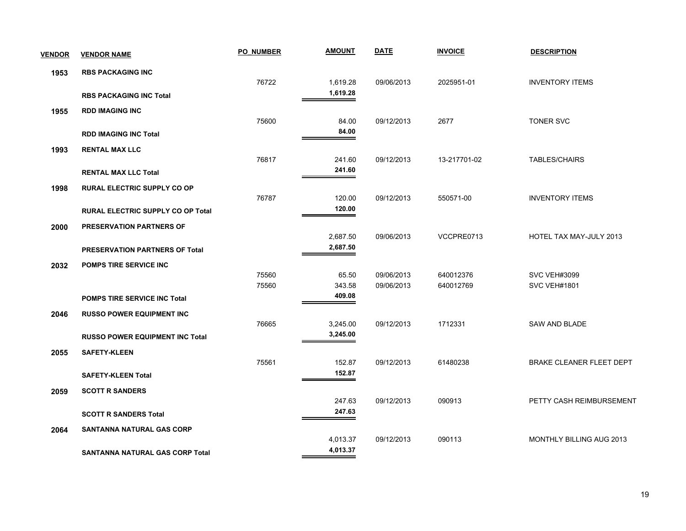| <b>VENDOR</b> | <b>VENDOR NAME</b>                       | <b>PO NUMBER</b> | <b>AMOUNT</b> | <b>DATE</b> | <b>INVOICE</b> | <b>DESCRIPTION</b>              |
|---------------|------------------------------------------|------------------|---------------|-------------|----------------|---------------------------------|
| 1953          | <b>RBS PACKAGING INC</b>                 |                  |               |             |                |                                 |
|               |                                          | 76722            | 1,619.28      | 09/06/2013  | 2025951-01     | <b>INVENTORY ITEMS</b>          |
|               | <b>RBS PACKAGING INC Total</b>           |                  | 1,619.28      |             |                |                                 |
| 1955          | <b>RDD IMAGING INC</b>                   |                  |               |             |                |                                 |
|               |                                          | 75600            | 84.00         | 09/12/2013  | 2677           | <b>TONER SVC</b>                |
|               | <b>RDD IMAGING INC Total</b>             |                  | 84.00         |             |                |                                 |
| 1993          | <b>RENTAL MAX LLC</b>                    |                  |               |             |                |                                 |
|               |                                          | 76817            | 241.60        | 09/12/2013  | 13-217701-02   | <b>TABLES/CHAIRS</b>            |
|               | <b>RENTAL MAX LLC Total</b>              |                  | 241.60        |             |                |                                 |
| 1998          | <b>RURAL ELECTRIC SUPPLY CO OP</b>       |                  |               |             |                |                                 |
|               |                                          | 76787            | 120.00        | 09/12/2013  | 550571-00      | <b>INVENTORY ITEMS</b>          |
|               | <b>RURAL ELECTRIC SUPPLY CO OP Total</b> |                  | 120.00        |             |                |                                 |
| 2000          | <b>PRESERVATION PARTNERS OF</b>          |                  |               |             |                |                                 |
|               |                                          |                  | 2,687.50      | 09/06/2013  | VCCPRE0713     | HOTEL TAX MAY-JULY 2013         |
|               | PRESERVATION PARTNERS OF Total           |                  | 2,687.50      |             |                |                                 |
| 2032          | <b>POMPS TIRE SERVICE INC</b>            |                  |               |             |                |                                 |
|               |                                          | 75560            | 65.50         | 09/06/2013  | 640012376      | <b>SVC VEH#3099</b>             |
|               |                                          | 75560            | 343.58        | 09/06/2013  | 640012769      | <b>SVC VEH#1801</b>             |
|               | <b>POMPS TIRE SERVICE INC Total</b>      |                  | 409.08        |             |                |                                 |
| 2046          | <b>RUSSO POWER EQUIPMENT INC</b>         |                  |               |             |                |                                 |
|               |                                          | 76665            | 3,245.00      | 09/12/2013  | 1712331        | <b>SAW AND BLADE</b>            |
|               | <b>RUSSO POWER EQUIPMENT INC Total</b>   |                  | 3,245.00      |             |                |                                 |
| 2055          | <b>SAFETY-KLEEN</b>                      |                  |               |             |                |                                 |
|               |                                          | 75561            | 152.87        | 09/12/2013  | 61480238       | <b>BRAKE CLEANER FLEET DEPT</b> |
|               | <b>SAFETY-KLEEN Total</b>                |                  | 152.87        |             |                |                                 |
| 2059          | <b>SCOTT R SANDERS</b>                   |                  |               |             |                |                                 |
|               |                                          |                  | 247.63        | 09/12/2013  | 090913         | PETTY CASH REIMBURSEMENT        |
|               | <b>SCOTT R SANDERS Total</b>             |                  | 247.63        |             |                |                                 |
| 2064          | SANTANNA NATURAL GAS CORP                |                  |               |             |                |                                 |
|               |                                          |                  | 4,013.37      | 09/12/2013  | 090113         | <b>MONTHLY BILLING AUG 2013</b> |
|               | <b>SANTANNA NATURAL GAS CORP Total</b>   |                  | 4,013.37      |             |                |                                 |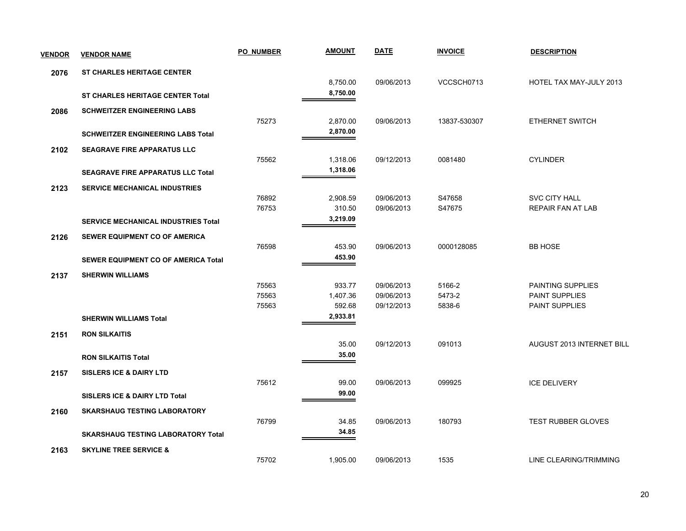| <b>VENDOR</b> | <b>VENDOR NAME</b>                         | <b>PO NUMBER</b> | <b>AMOUNT</b> | <b>DATE</b> | <b>INVOICE</b> | <b>DESCRIPTION</b>        |
|---------------|--------------------------------------------|------------------|---------------|-------------|----------------|---------------------------|
| 2076          | <b>ST CHARLES HERITAGE CENTER</b>          |                  |               |             |                |                           |
|               |                                            |                  | 8,750.00      | 09/06/2013  | VCCSCH0713     | HOTEL TAX MAY-JULY 2013   |
|               | <b>ST CHARLES HERITAGE CENTER Total</b>    |                  | 8,750.00      |             |                |                           |
| 2086          | <b>SCHWEITZER ENGINEERING LABS</b>         |                  |               |             |                |                           |
|               |                                            | 75273            | 2,870.00      | 09/06/2013  | 13837-530307   | ETHERNET SWITCH           |
|               | <b>SCHWEITZER ENGINEERING LABS Total</b>   |                  | 2,870.00      |             |                |                           |
| 2102          | <b>SEAGRAVE FIRE APPARATUS LLC</b>         |                  |               |             |                |                           |
|               |                                            | 75562            | 1,318.06      | 09/12/2013  | 0081480        | <b>CYLINDER</b>           |
|               | <b>SEAGRAVE FIRE APPARATUS LLC Total</b>   |                  | 1,318.06      |             |                |                           |
| 2123          | <b>SERVICE MECHANICAL INDUSTRIES</b>       |                  |               |             |                |                           |
|               |                                            | 76892            | 2,908.59      | 09/06/2013  | S47658         | <b>SVC CITY HALL</b>      |
|               |                                            | 76753            | 310.50        | 09/06/2013  | S47675         | REPAIR FAN AT LAB         |
|               | <b>SERVICE MECHANICAL INDUSTRIES Total</b> |                  | 3,219.09      |             |                |                           |
| 2126          | <b>SEWER EQUIPMENT CO OF AMERICA</b>       |                  |               |             |                |                           |
|               |                                            | 76598            | 453.90        | 09/06/2013  | 0000128085     | <b>BB HOSE</b>            |
|               | SEWER EQUIPMENT CO OF AMERICA Total        |                  | 453.90        |             |                |                           |
| 2137          | <b>SHERWIN WILLIAMS</b>                    |                  |               |             |                |                           |
|               |                                            | 75563            | 933.77        | 09/06/2013  | 5166-2         | PAINTING SUPPLIES         |
|               |                                            | 75563            | 1,407.36      | 09/06/2013  | 5473-2         | <b>PAINT SUPPLIES</b>     |
|               |                                            | 75563            | 592.68        | 09/12/2013  | 5838-6         | <b>PAINT SUPPLIES</b>     |
|               | <b>SHERWIN WILLIAMS Total</b>              |                  | 2,933.81      |             |                |                           |
| 2151          | <b>RON SILKAITIS</b>                       |                  |               |             |                |                           |
|               |                                            |                  | 35.00         | 09/12/2013  | 091013         | AUGUST 2013 INTERNET BILL |
|               | <b>RON SILKAITIS Total</b>                 |                  | 35.00         |             |                |                           |
| 2157          | <b>SISLERS ICE &amp; DAIRY LTD</b>         |                  |               |             |                |                           |
|               |                                            | 75612            | 99.00         | 09/06/2013  | 099925         | <b>ICE DELIVERY</b>       |
|               | <b>SISLERS ICE &amp; DAIRY LTD Total</b>   |                  | 99.00         |             |                |                           |
| 2160          | <b>SKARSHAUG TESTING LABORATORY</b>        |                  |               |             |                |                           |
|               |                                            | 76799            | 34.85         | 09/06/2013  | 180793         | TEST RUBBER GLOVES        |
|               | <b>SKARSHAUG TESTING LABORATORY Total</b>  |                  | 34.85         |             |                |                           |
| 2163          | <b>SKYLINE TREE SERVICE &amp;</b>          |                  |               |             |                |                           |
|               |                                            | 75702            | 1,905.00      | 09/06/2013  | 1535           | LINE CLEARING/TRIMMING    |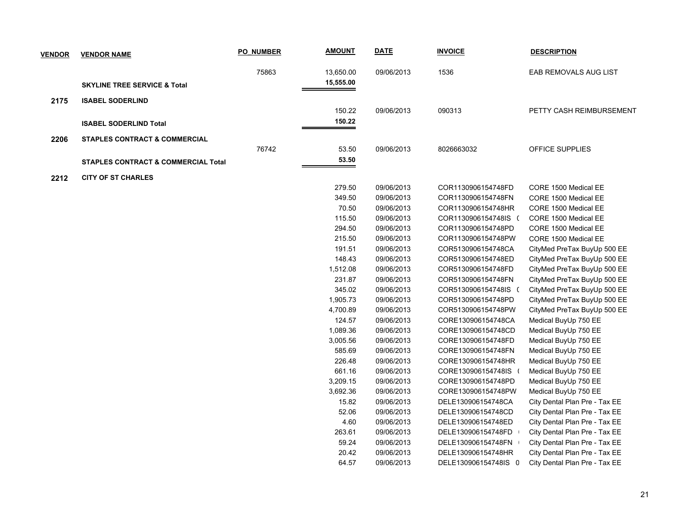| <b>VENDOR</b> | <b>VENDOR NAME</b>                             | <b>PO NUMBER</b> | <b>AMOUNT</b> | <b>DATE</b> | <b>INVOICE</b>       | <b>DESCRIPTION</b>            |
|---------------|------------------------------------------------|------------------|---------------|-------------|----------------------|-------------------------------|
|               |                                                | 75863            | 13,650.00     | 09/06/2013  | 1536                 | EAB REMOVALS AUG LIST         |
|               | <b>SKYLINE TREE SERVICE &amp; Total</b>        |                  | 15,555.00     |             |                      |                               |
|               |                                                |                  |               |             |                      |                               |
| 2175          | <b>ISABEL SODERLIND</b>                        |                  | 150.22        | 09/06/2013  | 090313               | PETTY CASH REIMBURSEMENT      |
|               |                                                |                  | 150.22        |             |                      |                               |
|               | <b>ISABEL SODERLIND Total</b>                  |                  |               |             |                      |                               |
| 2206          | <b>STAPLES CONTRACT &amp; COMMERCIAL</b>       |                  |               |             |                      |                               |
|               |                                                | 76742            | 53.50         | 09/06/2013  | 8026663032           | OFFICE SUPPLIES               |
|               | <b>STAPLES CONTRACT &amp; COMMERCIAL Total</b> |                  | 53.50         |             |                      |                               |
| 2212          | <b>CITY OF ST CHARLES</b>                      |                  |               |             |                      |                               |
|               |                                                |                  | 279.50        | 09/06/2013  | COR1130906154748FD   | CORE 1500 Medical EE          |
|               |                                                |                  | 349.50        | 09/06/2013  | COR1130906154748FN   | CORE 1500 Medical EE          |
|               |                                                |                  | 70.50         | 09/06/2013  | COR1130906154748HR   | CORE 1500 Medical EE          |
|               |                                                |                  | 115.50        | 09/06/2013  | COR1130906154748IS ( | CORE 1500 Medical EE          |
|               |                                                |                  | 294.50        | 09/06/2013  | COR1130906154748PD   | CORE 1500 Medical EE          |
|               |                                                |                  | 215.50        | 09/06/2013  | COR1130906154748PW   | CORE 1500 Medical EE          |
|               |                                                |                  | 191.51        | 09/06/2013  | COR5130906154748CA   | CityMed PreTax BuyUp 500 EE   |
|               |                                                |                  | 148.43        | 09/06/2013  | COR5130906154748ED   | CityMed PreTax BuyUp 500 EE   |
|               |                                                |                  | 1,512.08      | 09/06/2013  | COR5130906154748FD   | CityMed PreTax BuyUp 500 EE   |
|               |                                                |                  | 231.87        | 09/06/2013  | COR5130906154748FN   | CityMed PreTax BuyUp 500 EE   |
|               |                                                |                  | 345.02        | 09/06/2013  | COR5130906154748IS ( | CityMed PreTax BuyUp 500 EE   |
|               |                                                |                  | 1,905.73      | 09/06/2013  | COR5130906154748PD   | CityMed PreTax BuyUp 500 EE   |
|               |                                                |                  | 4,700.89      | 09/06/2013  | COR5130906154748PW   | CityMed PreTax BuyUp 500 EE   |
|               |                                                |                  | 124.57        | 09/06/2013  | CORE130906154748CA   | Medical BuyUp 750 EE          |
|               |                                                |                  | 1,089.36      | 09/06/2013  | CORE130906154748CD   | Medical BuyUp 750 EE          |
|               |                                                |                  | 3,005.56      | 09/06/2013  | CORE130906154748FD   | Medical BuyUp 750 EE          |
|               |                                                |                  | 585.69        | 09/06/2013  | CORE130906154748FN   | Medical BuyUp 750 EE          |
|               |                                                |                  | 226.48        | 09/06/2013  | CORE130906154748HR   | Medical BuyUp 750 EE          |
|               |                                                |                  | 661.16        | 09/06/2013  | CORE130906154748IS   | Medical BuyUp 750 EE          |
|               |                                                |                  | 3,209.15      | 09/06/2013  | CORE130906154748PD   | Medical BuyUp 750 EE          |
|               |                                                |                  | 3,692.36      | 09/06/2013  | CORE130906154748PW   | Medical BuyUp 750 EE          |
|               |                                                |                  | 15.82         | 09/06/2013  | DELE130906154748CA   | City Dental Plan Pre - Tax EE |
|               |                                                |                  | 52.06         | 09/06/2013  | DELE130906154748CD   | City Dental Plan Pre - Tax EE |
|               |                                                |                  | 4.60          | 09/06/2013  | DELE130906154748ED   | City Dental Plan Pre - Tax EE |
|               |                                                |                  | 263.61        | 09/06/2013  | DELE130906154748FD   | City Dental Plan Pre - Tax EE |
|               |                                                |                  | 59.24         | 09/06/2013  | DELE130906154748FN   | City Dental Plan Pre - Tax EE |
|               |                                                |                  | 20.42         | 09/06/2013  | DELE130906154748HR   | City Dental Plan Pre - Tax EE |
|               |                                                |                  | 64.57         | 09/06/2013  | DELE130906154748IS 0 | City Dental Plan Pre - Tax EE |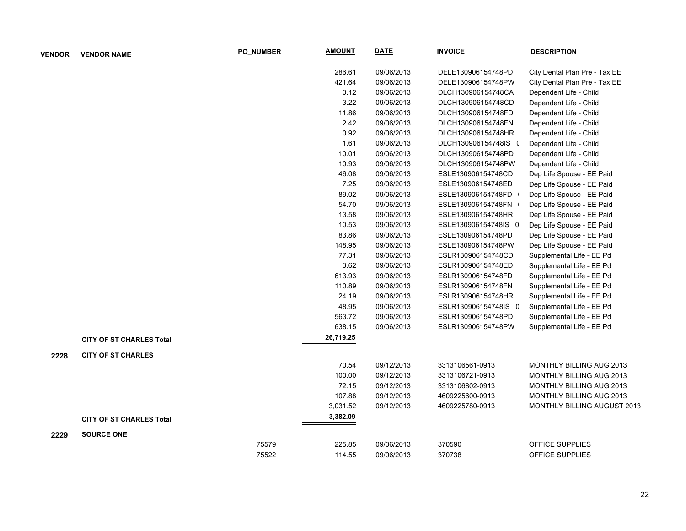| <b>VENDOR</b> | <b>VENDOR NAME</b>              | <b>PO NUMBER</b> | <b>AMOUNT</b> | <b>DATE</b> | <b>INVOICE</b>       | <b>DESCRIPTION</b>                 |
|---------------|---------------------------------|------------------|---------------|-------------|----------------------|------------------------------------|
|               |                                 |                  | 286.61        | 09/06/2013  | DELE130906154748PD   | City Dental Plan Pre - Tax EE      |
|               |                                 |                  | 421.64        | 09/06/2013  | DELE130906154748PW   | City Dental Plan Pre - Tax EE      |
|               |                                 |                  | 0.12          | 09/06/2013  | DLCH130906154748CA   | Dependent Life - Child             |
|               |                                 |                  | 3.22          | 09/06/2013  | DLCH130906154748CD   | Dependent Life - Child             |
|               |                                 |                  | 11.86         | 09/06/2013  | DLCH130906154748FD   | Dependent Life - Child             |
|               |                                 |                  | 2.42          | 09/06/2013  | DLCH130906154748FN   | Dependent Life - Child             |
|               |                                 |                  | 0.92          | 09/06/2013  | DLCH130906154748HR   | Dependent Life - Child             |
|               |                                 |                  | 1.61          | 09/06/2013  | DLCH130906154748IS ( | Dependent Life - Child             |
|               |                                 |                  | 10.01         | 09/06/2013  | DLCH130906154748PD   | Dependent Life - Child             |
|               |                                 |                  | 10.93         | 09/06/2013  | DLCH130906154748PW   | Dependent Life - Child             |
|               |                                 |                  | 46.08         | 09/06/2013  | ESLE130906154748CD   | Dep Life Spouse - EE Paid          |
|               |                                 |                  | 7.25          | 09/06/2013  | ESLE130906154748ED   | Dep Life Spouse - EE Paid          |
|               |                                 |                  | 89.02         | 09/06/2013  | ESLE130906154748FD + | Dep Life Spouse - EE Paid          |
|               |                                 |                  | 54.70         | 09/06/2013  | ESLE130906154748FN + | Dep Life Spouse - EE Paid          |
|               |                                 |                  | 13.58         | 09/06/2013  | ESLE130906154748HR   | Dep Life Spouse - EE Paid          |
|               |                                 |                  | 10.53         | 09/06/2013  | ESLE130906154748IS 0 | Dep Life Spouse - EE Paid          |
|               |                                 |                  | 83.86         | 09/06/2013  | ESLE130906154748PD   | Dep Life Spouse - EE Paid          |
|               |                                 |                  | 148.95        | 09/06/2013  | ESLE130906154748PW   | Dep Life Spouse - EE Paid          |
|               |                                 |                  | 77.31         | 09/06/2013  | ESLR130906154748CD   | Supplemental Life - EE Pd          |
|               |                                 |                  | 3.62          | 09/06/2013  | ESLR130906154748ED   | Supplemental Life - EE Pd          |
|               |                                 |                  | 613.93        | 09/06/2013  | ESLR130906154748FD   | Supplemental Life - EE Pd          |
|               |                                 |                  | 110.89        | 09/06/2013  | ESLR130906154748FN   | Supplemental Life - EE Pd          |
|               |                                 |                  | 24.19         | 09/06/2013  | ESLR130906154748HR   | Supplemental Life - EE Pd          |
|               |                                 |                  | 48.95         | 09/06/2013  | ESLR130906154748IS 0 | Supplemental Life - EE Pd          |
|               |                                 |                  | 563.72        | 09/06/2013  | ESLR130906154748PD   | Supplemental Life - EE Pd          |
|               |                                 |                  | 638.15        | 09/06/2013  | ESLR130906154748PW   | Supplemental Life - EE Pd          |
|               | <b>CITY OF ST CHARLES Total</b> |                  | 26,719.25     |             |                      |                                    |
| 2228          | <b>CITY OF ST CHARLES</b>       |                  |               |             |                      |                                    |
|               |                                 |                  | 70.54         | 09/12/2013  | 3313106561-0913      | MONTHLY BILLING AUG 2013           |
|               |                                 |                  | 100.00        | 09/12/2013  | 3313106721-0913      | MONTHLY BILLING AUG 2013           |
|               |                                 |                  | 72.15         | 09/12/2013  | 3313106802-0913      | MONTHLY BILLING AUG 2013           |
|               |                                 |                  | 107.88        | 09/12/2013  | 4609225600-0913      | MONTHLY BILLING AUG 2013           |
|               |                                 |                  | 3,031.52      | 09/12/2013  | 4609225780-0913      | <b>MONTHLY BILLING AUGUST 2013</b> |
|               | <b>CITY OF ST CHARLES Total</b> |                  | 3,382.09      |             |                      |                                    |
| 2229          | <b>SOURCE ONE</b>               |                  |               |             |                      |                                    |
|               |                                 | 75579            | 225.85        | 09/06/2013  | 370590               | OFFICE SUPPLIES                    |
|               |                                 | 75522            | 114.55        | 09/06/2013  | 370738               | OFFICE SUPPLIES                    |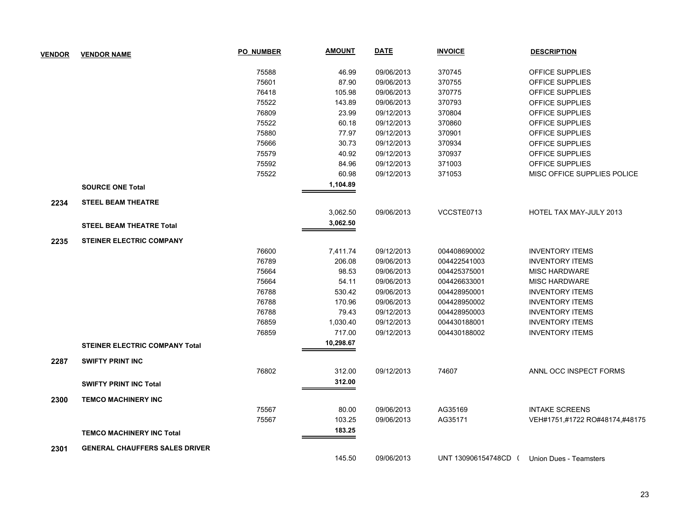| <b>VENDOR</b> | <b>VENDOR NAME</b>                    | <b>PO NUMBER</b> | <b>AMOUNT</b> | <b>DATE</b> | <b>INVOICE</b>     | <b>DESCRIPTION</b>             |
|---------------|---------------------------------------|------------------|---------------|-------------|--------------------|--------------------------------|
|               |                                       | 75588            | 46.99         | 09/06/2013  | 370745             | OFFICE SUPPLIES                |
|               |                                       | 75601            | 87.90         | 09/06/2013  | 370755             | OFFICE SUPPLIES                |
|               |                                       | 76418            | 105.98        | 09/06/2013  | 370775             | OFFICE SUPPLIES                |
|               |                                       | 75522            | 143.89        | 09/06/2013  | 370793             | OFFICE SUPPLIES                |
|               |                                       | 76809            | 23.99         | 09/12/2013  | 370804             | OFFICE SUPPLIES                |
|               |                                       | 75522            | 60.18         | 09/12/2013  | 370860             | OFFICE SUPPLIES                |
|               |                                       | 75880            | 77.97         | 09/12/2013  | 370901             | OFFICE SUPPLIES                |
|               |                                       | 75666            | 30.73         | 09/12/2013  | 370934             | OFFICE SUPPLIES                |
|               |                                       | 75579            | 40.92         | 09/12/2013  | 370937             | OFFICE SUPPLIES                |
|               |                                       | 75592            | 84.96         | 09/12/2013  | 371003             | OFFICE SUPPLIES                |
|               |                                       | 75522            | 60.98         | 09/12/2013  | 371053             | MISC OFFICE SUPPLIES POLICE    |
|               | <b>SOURCE ONE Total</b>               |                  | 1,104.89      |             |                    |                                |
| 2234          | <b>STEEL BEAM THEATRE</b>             |                  |               |             |                    |                                |
|               |                                       |                  | 3,062.50      | 09/06/2013  | VCCSTE0713         | HOTEL TAX MAY-JULY 2013        |
|               | <b>STEEL BEAM THEATRE Total</b>       |                  | 3,062.50      |             |                    |                                |
| 2235          | <b>STEINER ELECTRIC COMPANY</b>       |                  |               |             |                    |                                |
|               |                                       | 76600            | 7,411.74      | 09/12/2013  | 004408690002       | <b>INVENTORY ITEMS</b>         |
|               |                                       | 76789            | 206.08        | 09/06/2013  | 004422541003       | <b>INVENTORY ITEMS</b>         |
|               |                                       | 75664            | 98.53         | 09/06/2013  | 004425375001       | <b>MISC HARDWARE</b>           |
|               |                                       | 75664            | 54.11         | 09/06/2013  | 004426633001       | <b>MISC HARDWARE</b>           |
|               |                                       | 76788            | 530.42        | 09/06/2013  | 004428950001       | <b>INVENTORY ITEMS</b>         |
|               |                                       | 76788            | 170.96        | 09/06/2013  | 004428950002       | <b>INVENTORY ITEMS</b>         |
|               |                                       | 76788            | 79.43         | 09/12/2013  | 004428950003       | <b>INVENTORY ITEMS</b>         |
|               |                                       | 76859            | 1,030.40      | 09/12/2013  | 004430188001       | <b>INVENTORY ITEMS</b>         |
|               |                                       | 76859            | 717.00        | 09/12/2013  | 004430188002       | <b>INVENTORY ITEMS</b>         |
|               | <b>STEINER ELECTRIC COMPANY Total</b> |                  | 10,298.67     |             |                    |                                |
| 2287          | <b>SWIFTY PRINT INC</b>               |                  |               |             |                    |                                |
|               |                                       | 76802            | 312.00        | 09/12/2013  | 74607              | ANNL OCC INSPECT FORMS         |
|               | <b>SWIFTY PRINT INC Total</b>         |                  | 312.00        |             |                    |                                |
| 2300          | <b>TEMCO MACHINERY INC</b>            |                  |               |             |                    |                                |
|               |                                       | 75567            | 80.00         | 09/06/2013  | AG35169            | <b>INTAKE SCREENS</b>          |
|               |                                       | 75567            | 103.25        | 09/06/2013  | AG35171            | VEH#1751,#1722 RO#48174,#48175 |
|               | <b>TEMCO MACHINERY INC Total</b>      |                  | 183.25        |             |                    |                                |
| 2301          | <b>GENERAL CHAUFFERS SALES DRIVER</b> |                  |               |             |                    |                                |
|               |                                       |                  | 145.50        | 09/06/2013  | UNT 130906154748CD | Union Dues - Teamsters         |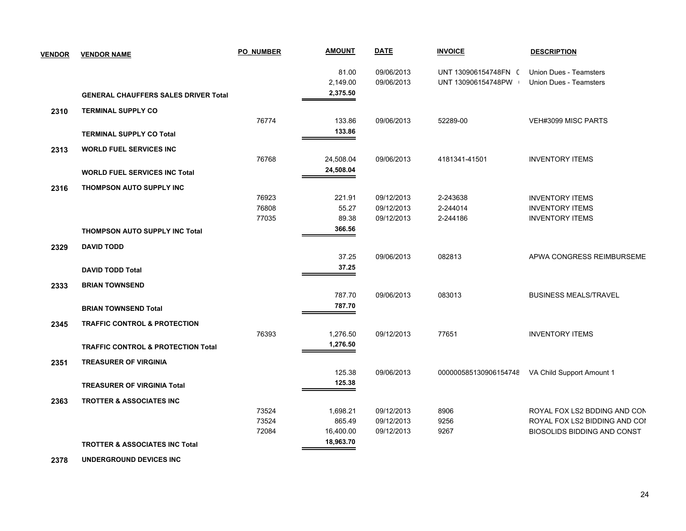| <b>VENDOR</b> | <b>VENDOR NAME</b>                            | <b>PO NUMBER</b> | <b>AMOUNT</b> | <b>DATE</b> | <b>INVOICE</b>       | <b>DESCRIPTION</b>                              |
|---------------|-----------------------------------------------|------------------|---------------|-------------|----------------------|-------------------------------------------------|
|               |                                               |                  | 81.00         | 09/06/2013  | UNT 130906154748FN ( | <b>Union Dues - Teamsters</b>                   |
|               |                                               |                  | 2,149.00      | 09/06/2013  | UNT 130906154748PW   | <b>Union Dues - Teamsters</b>                   |
|               | <b>GENERAL CHAUFFERS SALES DRIVER Total</b>   |                  | 2,375.50      |             |                      |                                                 |
| 2310          | <b>TERMINAL SUPPLY CO</b>                     |                  |               |             |                      |                                                 |
|               |                                               | 76774            | 133.86        | 09/06/2013  | 52289-00             | VEH#3099 MISC PARTS                             |
|               | <b>TERMINAL SUPPLY CO Total</b>               |                  | 133.86        |             |                      |                                                 |
| 2313          | <b>WORLD FUEL SERVICES INC</b>                |                  |               |             |                      |                                                 |
|               |                                               | 76768            | 24,508.04     | 09/06/2013  | 4181341-41501        | <b>INVENTORY ITEMS</b>                          |
|               | <b>WORLD FUEL SERVICES INC Total</b>          |                  | 24,508.04     |             |                      |                                                 |
| 2316          | THOMPSON AUTO SUPPLY INC                      |                  |               |             |                      |                                                 |
|               |                                               | 76923            | 221.91        | 09/12/2013  | 2-243638             | <b>INVENTORY ITEMS</b>                          |
|               |                                               | 76808            | 55.27         | 09/12/2013  | 2-244014             | <b>INVENTORY ITEMS</b>                          |
|               |                                               | 77035            | 89.38         | 09/12/2013  | 2-244186             | <b>INVENTORY ITEMS</b>                          |
|               | <b>THOMPSON AUTO SUPPLY INC Total</b>         |                  | 366.56        |             |                      |                                                 |
| 2329          | <b>DAVID TODD</b>                             |                  |               |             |                      |                                                 |
|               |                                               |                  | 37.25         | 09/06/2013  | 082813               | APWA CONGRESS REIMBURSEME                       |
|               | <b>DAVID TODD Total</b>                       |                  | 37.25         |             |                      |                                                 |
| 2333          | <b>BRIAN TOWNSEND</b>                         |                  |               |             |                      |                                                 |
|               |                                               |                  | 787.70        | 09/06/2013  | 083013               | <b>BUSINESS MEALS/TRAVEL</b>                    |
|               | <b>BRIAN TOWNSEND Total</b>                   |                  | 787.70        |             |                      |                                                 |
| 2345          | <b>TRAFFIC CONTROL &amp; PROTECTION</b>       |                  |               |             |                      |                                                 |
|               |                                               | 76393            | 1,276.50      | 09/12/2013  | 77651                | <b>INVENTORY ITEMS</b>                          |
|               | <b>TRAFFIC CONTROL &amp; PROTECTION Total</b> |                  | 1,276.50      |             |                      |                                                 |
| 2351          | <b>TREASURER OF VIRGINIA</b>                  |                  |               |             |                      |                                                 |
|               |                                               |                  | 125.38        | 09/06/2013  |                      | 000000585130906154748 VA Child Support Amount 1 |
|               | <b>TREASURER OF VIRGINIA Total</b>            |                  | 125.38        |             |                      |                                                 |
| 2363          | <b>TROTTER &amp; ASSOCIATES INC</b>           |                  |               |             |                      |                                                 |
|               |                                               | 73524            | 1,698.21      | 09/12/2013  | 8906                 | ROYAL FOX LS2 BDDING AND CON                    |
|               |                                               | 73524            | 865.49        | 09/12/2013  | 9256                 | ROYAL FOX LS2 BIDDING AND COI                   |
|               |                                               | 72084            | 16,400.00     | 09/12/2013  | 9267                 | BIOSOLIDS BIDDING AND CONST                     |
|               | <b>TROTTER &amp; ASSOCIATES INC Total</b>     |                  | 18,963.70     |             |                      |                                                 |

 **2378 UNDERGROUND DEVICES INC**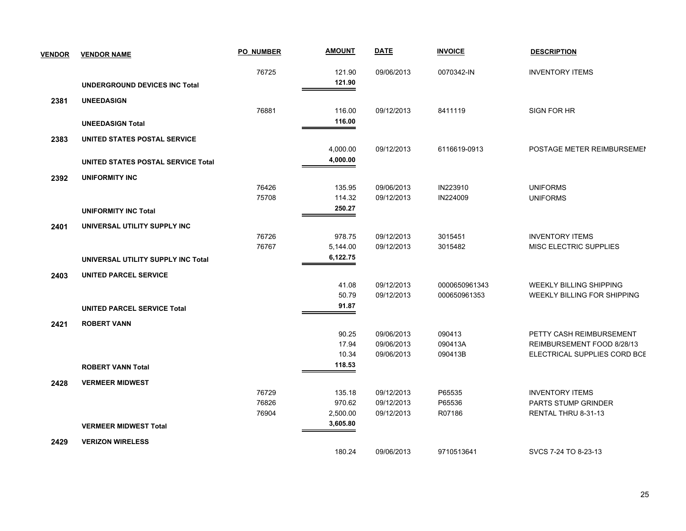| <b>VENDOR</b> | <b>VENDOR NAME</b>                 | <b>PO NUMBER</b> | <b>AMOUNT</b>        | <b>DATE</b>              | <b>INVOICE</b>     | <b>DESCRIPTION</b>                                         |
|---------------|------------------------------------|------------------|----------------------|--------------------------|--------------------|------------------------------------------------------------|
|               |                                    | 76725            | 121.90               | 09/06/2013               | 0070342-IN         | <b>INVENTORY ITEMS</b>                                     |
|               | UNDERGROUND DEVICES INC Total      |                  | 121.90               |                          |                    |                                                            |
| 2381          | <b>UNEEDASIGN</b>                  |                  |                      |                          |                    |                                                            |
|               |                                    | 76881            | 116.00               | 09/12/2013               | 8411119            | SIGN FOR HR                                                |
|               | <b>UNEEDASIGN Total</b>            |                  | 116.00               |                          |                    |                                                            |
| 2383          | UNITED STATES POSTAL SERVICE       |                  |                      |                          |                    |                                                            |
|               |                                    |                  | 4,000.00             | 09/12/2013               | 6116619-0913       | POSTAGE METER REIMBURSEMEN                                 |
|               | UNITED STATES POSTAL SERVICE Total |                  | 4,000.00             |                          |                    |                                                            |
| 2392          | <b>UNIFORMITY INC</b>              |                  |                      |                          |                    |                                                            |
|               |                                    | 76426            | 135.95               | 09/06/2013               | IN223910           | <b>UNIFORMS</b>                                            |
|               |                                    | 75708            | 114.32               | 09/12/2013               | IN224009           | <b>UNIFORMS</b>                                            |
|               | <b>UNIFORMITY INC Total</b>        |                  | 250.27               |                          |                    |                                                            |
| 2401          | UNIVERSAL UTILITY SUPPLY INC       |                  |                      |                          |                    |                                                            |
|               |                                    | 76726            | 978.75               | 09/12/2013               | 3015451            | <b>INVENTORY ITEMS</b>                                     |
|               |                                    | 76767            | 5,144.00<br>6,122.75 | 09/12/2013               | 3015482            | MISC ELECTRIC SUPPLIES                                     |
|               | UNIVERSAL UTILITY SUPPLY INC Total |                  |                      |                          |                    |                                                            |
| 2403          | UNITED PARCEL SERVICE              |                  |                      |                          |                    |                                                            |
|               |                                    |                  | 41.08                | 09/12/2013               | 0000650961343      | <b>WEEKLY BILLING SHIPPING</b>                             |
|               |                                    |                  | 50.79<br>91.87       | 09/12/2013               | 000650961353       | WEEKLY BILLING FOR SHIPPING                                |
|               | <b>UNITED PARCEL SERVICE Total</b> |                  |                      |                          |                    |                                                            |
| 2421          | <b>ROBERT VANN</b>                 |                  |                      |                          |                    |                                                            |
|               |                                    |                  | 90.25                | 09/06/2013               | 090413             | PETTY CASH REIMBURSEMENT                                   |
|               |                                    |                  | 17.94<br>10.34       | 09/06/2013<br>09/06/2013 | 090413A<br>090413B | REIMBURSEMENT FOOD 8/28/13<br>ELECTRICAL SUPPLIES CORD BCE |
|               | <b>ROBERT VANN Total</b>           |                  | 118.53               |                          |                    |                                                            |
|               |                                    |                  |                      |                          |                    |                                                            |
| 2428          | <b>VERMEER MIDWEST</b>             | 76729            | 135.18               | 09/12/2013               | P65535             | <b>INVENTORY ITEMS</b>                                     |
|               |                                    | 76826            | 970.62               | 09/12/2013               | P65536             | PARTS STUMP GRINDER                                        |
|               |                                    | 76904            | 2,500.00             | 09/12/2013               | R07186             | RENTAL THRU 8-31-13                                        |
|               | <b>VERMEER MIDWEST Total</b>       |                  | 3,605.80             |                          |                    |                                                            |
| 2429          | <b>VERIZON WIRELESS</b>            |                  |                      |                          |                    |                                                            |
|               |                                    |                  | 180.24               | 09/06/2013               | 9710513641         | SVCS 7-24 TO 8-23-13                                       |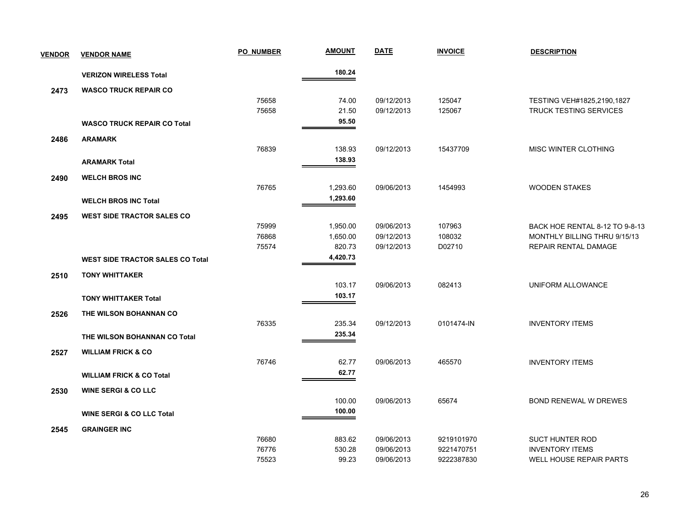| <b>VENDOR</b> | <b>VENDOR NAME</b>                      | <b>PO NUMBER</b> | <b>AMOUNT</b> | <b>DATE</b> | <b>INVOICE</b> | <b>DESCRIPTION</b>             |
|---------------|-----------------------------------------|------------------|---------------|-------------|----------------|--------------------------------|
|               | <b>VERIZON WIRELESS Total</b>           |                  | 180.24        |             |                |                                |
| 2473          | <b>WASCO TRUCK REPAIR CO</b>            |                  |               |             |                |                                |
|               |                                         | 75658            | 74.00         | 09/12/2013  | 125047         | TESTING VEH#1825,2190,1827     |
|               |                                         | 75658            | 21.50         | 09/12/2013  | 125067         | <b>TRUCK TESTING SERVICES</b>  |
|               | <b>WASCO TRUCK REPAIR CO Total</b>      |                  | 95.50         |             |                |                                |
| 2486          | <b>ARAMARK</b>                          |                  |               |             |                |                                |
|               |                                         | 76839            | 138.93        | 09/12/2013  | 15437709       | <b>MISC WINTER CLOTHING</b>    |
|               | <b>ARAMARK Total</b>                    |                  | 138.93        |             |                |                                |
| 2490          | <b>WELCH BROS INC</b>                   |                  |               |             |                |                                |
|               |                                         | 76765            | 1,293.60      | 09/06/2013  | 1454993        | <b>WOODEN STAKES</b>           |
|               | <b>WELCH BROS INC Total</b>             |                  | 1,293.60      |             |                |                                |
| 2495          | <b>WEST SIDE TRACTOR SALES CO</b>       |                  |               |             |                |                                |
|               |                                         | 75999            | 1,950.00      | 09/06/2013  | 107963         | BACK HOE RENTAL 8-12 TO 9-8-13 |
|               |                                         | 76868            | 1,650.00      | 09/12/2013  | 108032         | MONTHLY BILLING THRU 9/15/13   |
|               |                                         | 75574            | 820.73        | 09/12/2013  | D02710         | REPAIR RENTAL DAMAGE           |
|               | <b>WEST SIDE TRACTOR SALES CO Total</b> |                  | 4,420.73      |             |                |                                |
| 2510          | <b>TONY WHITTAKER</b>                   |                  |               |             |                |                                |
|               |                                         |                  | 103.17        | 09/06/2013  | 082413         | UNIFORM ALLOWANCE              |
|               | <b>TONY WHITTAKER Total</b>             |                  | 103.17        |             |                |                                |
| 2526          | THE WILSON BOHANNAN CO                  |                  |               |             |                |                                |
|               |                                         | 76335            | 235.34        | 09/12/2013  | 0101474-IN     | <b>INVENTORY ITEMS</b>         |
|               | THE WILSON BOHANNAN CO Total            |                  | 235.34        |             |                |                                |
| 2527          | <b>WILLIAM FRICK &amp; CO</b>           |                  |               |             |                |                                |
|               |                                         | 76746            | 62.77         | 09/06/2013  | 465570         | <b>INVENTORY ITEMS</b>         |
|               | <b>WILLIAM FRICK &amp; CO Total</b>     |                  | 62.77         |             |                |                                |
| 2530          | <b>WINE SERGI &amp; CO LLC</b>          |                  |               |             |                |                                |
|               |                                         |                  | 100.00        | 09/06/2013  | 65674          | <b>BOND RENEWAL W DREWES</b>   |
|               | <b>WINE SERGI &amp; CO LLC Total</b>    |                  | 100.00        |             |                |                                |
| 2545          | <b>GRAINGER INC</b>                     |                  |               |             |                |                                |
|               |                                         | 76680            | 883.62        | 09/06/2013  | 9219101970     | <b>SUCT HUNTER ROD</b>         |
|               |                                         | 76776            | 530.28        | 09/06/2013  | 9221470751     | <b>INVENTORY ITEMS</b>         |
|               |                                         | 75523            | 99.23         | 09/06/2013  | 9222387830     | WELL HOUSE REPAIR PARTS        |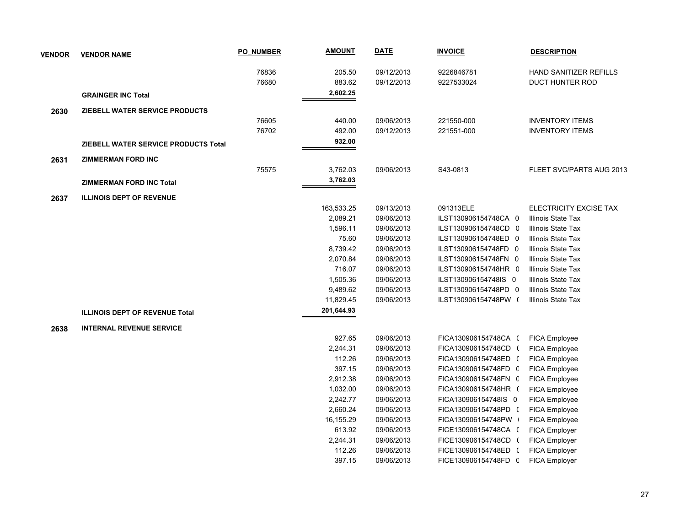| <b>VENDOR</b> | <b>VENDOR NAME</b>                    | <b>PO NUMBER</b> | <b>AMOUNT</b> | <b>DATE</b> | <b>INVOICE</b>       | <b>DESCRIPTION</b>            |
|---------------|---------------------------------------|------------------|---------------|-------------|----------------------|-------------------------------|
|               |                                       | 76836            | 205.50        | 09/12/2013  | 9226846781           | <b>HAND SANITIZER REFILLS</b> |
|               |                                       | 76680            | 883.62        | 09/12/2013  | 9227533024           | <b>DUCT HUNTER ROD</b>        |
|               | <b>GRAINGER INC Total</b>             |                  | 2,602.25      |             |                      |                               |
| 2630          | ZIEBELL WATER SERVICE PRODUCTS        |                  |               |             |                      |                               |
|               |                                       | 76605            | 440.00        | 09/06/2013  | 221550-000           | <b>INVENTORY ITEMS</b>        |
|               |                                       | 76702            | 492.00        | 09/12/2013  | 221551-000           | <b>INVENTORY ITEMS</b>        |
|               | ZIEBELL WATER SERVICE PRODUCTS Total  |                  | 932.00        |             |                      |                               |
|               |                                       |                  |               |             |                      |                               |
| 2631          | <b>ZIMMERMAN FORD INC</b>             |                  |               |             |                      |                               |
|               |                                       | 75575            | 3,762.03      | 09/06/2013  | S43-0813             | FLEET SVC/PARTS AUG 2013      |
|               | <b>ZIMMERMAN FORD INC Total</b>       |                  | 3,762.03      |             |                      |                               |
| 2637          | <b>ILLINOIS DEPT OF REVENUE</b>       |                  |               |             |                      |                               |
|               |                                       |                  | 163,533.25    | 09/13/2013  | 091313ELE            | ELECTRICITY EXCISE TAX        |
|               |                                       |                  | 2,089.21      | 09/06/2013  | ILST130906154748CA 0 | <b>Illinois State Tax</b>     |
|               |                                       |                  | 1,596.11      | 09/06/2013  | ILST130906154748CD 0 | Illinois State Tax            |
|               |                                       |                  | 75.60         | 09/06/2013  | ILST130906154748ED 0 | Illinois State Tax            |
|               |                                       |                  | 8,739.42      | 09/06/2013  | ILST130906154748FD 0 | Illinois State Tax            |
|               |                                       |                  | 2,070.84      | 09/06/2013  | ILST130906154748FN 0 | Illinois State Tax            |
|               |                                       |                  | 716.07        | 09/06/2013  | ILST130906154748HR 0 | Illinois State Tax            |
|               |                                       |                  | 1,505.36      | 09/06/2013  | ILST130906154748IS 0 | Illinois State Tax            |
|               |                                       |                  | 9,489.62      | 09/06/2013  | ILST130906154748PD 0 | Illinois State Tax            |
|               |                                       |                  | 11,829.45     | 09/06/2013  | ILST130906154748PW ( | Illinois State Tax            |
|               | <b>ILLINOIS DEPT OF REVENUE Total</b> |                  | 201,644.93    |             |                      |                               |
| 2638          | <b>INTERNAL REVENUE SERVICE</b>       |                  |               |             |                      |                               |
|               |                                       |                  | 927.65        | 09/06/2013  | FICA130906154748CA ( | <b>FICA Employee</b>          |
|               |                                       |                  | 2,244.31      | 09/06/2013  | FICA130906154748CD ( | <b>FICA Employee</b>          |
|               |                                       |                  | 112.26        | 09/06/2013  | FICA130906154748ED ( | <b>FICA Employee</b>          |
|               |                                       |                  | 397.15        | 09/06/2013  | FICA130906154748FD C | FICA Employee                 |
|               |                                       |                  | 2,912.38      | 09/06/2013  | FICA130906154748FN C | FICA Employee                 |
|               |                                       |                  | 1,032.00      | 09/06/2013  | FICA130906154748HR ( | FICA Employee                 |
|               |                                       |                  | 2,242.77      | 09/06/2013  | FICA130906154748IS 0 | FICA Employee                 |
|               |                                       |                  | 2,660.24      | 09/06/2013  | FICA130906154748PD ( | <b>FICA Employee</b>          |
|               |                                       |                  | 16,155.29     | 09/06/2013  | FICA130906154748PW   | <b>FICA Employee</b>          |
|               |                                       |                  | 613.92        | 09/06/2013  | FICE130906154748CA ( | FICA Employer                 |
|               |                                       |                  | 2,244.31      | 09/06/2013  | FICE130906154748CD ( | FICA Employer                 |
|               |                                       |                  | 112.26        | 09/06/2013  | FICE130906154748ED ( | FICA Employer                 |
|               |                                       |                  | 397.15        | 09/06/2013  | FICE130906154748FD 0 | <b>FICA Employer</b>          |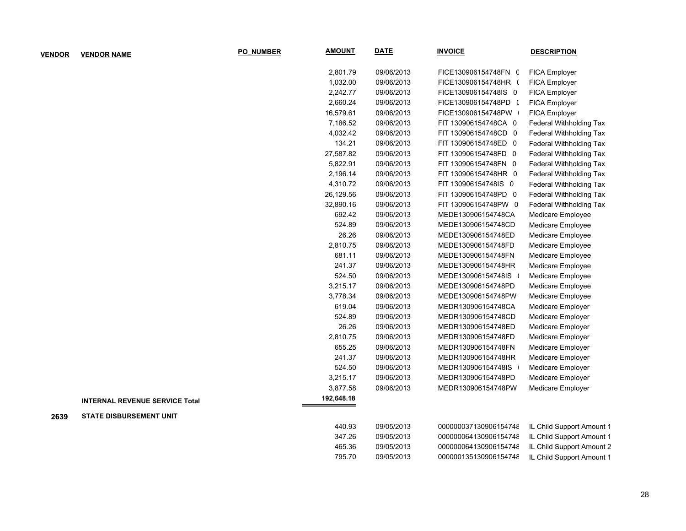| <b>VENDOR</b> | <b>VENDOR NAME</b>                    | <b>PO NUMBER</b> | <b>AMOUNT</b> | <b>DATE</b> | <b>INVOICE</b>        | <b>DESCRIPTION</b>             |
|---------------|---------------------------------------|------------------|---------------|-------------|-----------------------|--------------------------------|
|               |                                       |                  | 2,801.79      | 09/06/2013  | FICE130906154748FN C  | FICA Employer                  |
|               |                                       |                  | 1,032.00      | 09/06/2013  | FICE130906154748HR (  | FICA Employer                  |
|               |                                       |                  | 2,242.77      | 09/06/2013  | FICE130906154748IS 0  | FICA Employer                  |
|               |                                       |                  | 2,660.24      | 09/06/2013  | FICE130906154748PD (  | FICA Employer                  |
|               |                                       |                  | 16,579.61     | 09/06/2013  | FICE130906154748PW    | FICA Employer                  |
|               |                                       |                  | 7,186.52      | 09/06/2013  | FIT 130906154748CA 0  | Federal Withholding Tax        |
|               |                                       |                  | 4,032.42      | 09/06/2013  | FIT 130906154748CD 0  | <b>Federal Withholding Tax</b> |
|               |                                       |                  | 134.21        | 09/06/2013  | FIT 130906154748ED 0  | Federal Withholding Tax        |
|               |                                       |                  | 27,587.82     | 09/06/2013  | FIT 130906154748FD 0  | Federal Withholding Tax        |
|               |                                       |                  | 5,822.91      | 09/06/2013  | FIT 130906154748FN 0  | Federal Withholding Tax        |
|               |                                       |                  | 2,196.14      | 09/06/2013  | FIT 130906154748HR 0  | Federal Withholding Tax        |
|               |                                       |                  | 4,310.72      | 09/06/2013  | FIT 130906154748IS 0  | Federal Withholding Tax        |
|               |                                       |                  | 26,129.56     | 09/06/2013  | FIT 130906154748PD 0  | Federal Withholding Tax        |
|               |                                       |                  | 32,890.16     | 09/06/2013  | FIT 130906154748PW 0  | Federal Withholding Tax        |
|               |                                       |                  | 692.42        | 09/06/2013  | MEDE130906154748CA    | Medicare Employee              |
|               |                                       |                  | 524.89        | 09/06/2013  | MEDE130906154748CD    | Medicare Employee              |
|               |                                       |                  | 26.26         | 09/06/2013  | MEDE130906154748ED    | Medicare Employee              |
|               |                                       |                  | 2,810.75      | 09/06/2013  | MEDE130906154748FD    | Medicare Employee              |
|               |                                       |                  | 681.11        | 09/06/2013  | MEDE130906154748FN    | Medicare Employee              |
|               |                                       |                  | 241.37        | 09/06/2013  | MEDE130906154748HR    | Medicare Employee              |
|               |                                       |                  | 524.50        | 09/06/2013  | MEDE130906154748IS (  | Medicare Employee              |
|               |                                       |                  | 3,215.17      | 09/06/2013  | MEDE130906154748PD    | Medicare Employee              |
|               |                                       |                  | 3,778.34      | 09/06/2013  | MEDE130906154748PW    | Medicare Employee              |
|               |                                       |                  | 619.04        | 09/06/2013  | MEDR130906154748CA    | Medicare Employer              |
|               |                                       |                  | 524.89        | 09/06/2013  | MEDR130906154748CD    | Medicare Employer              |
|               |                                       |                  | 26.26         | 09/06/2013  | MEDR130906154748ED    | Medicare Employer              |
|               |                                       |                  | 2,810.75      | 09/06/2013  | MEDR130906154748FD    | Medicare Employer              |
|               |                                       |                  | 655.25        | 09/06/2013  | MEDR130906154748FN    | Medicare Employer              |
|               |                                       |                  | 241.37        | 09/06/2013  | MEDR130906154748HR    | Medicare Employer              |
|               |                                       |                  | 524.50        | 09/06/2013  | MEDR130906154748IS    | Medicare Employer              |
|               |                                       |                  | 3,215.17      | 09/06/2013  | MEDR130906154748PD    | Medicare Employer              |
|               |                                       |                  | 3,877.58      | 09/06/2013  | MEDR130906154748PW    | Medicare Employer              |
|               | <b>INTERNAL REVENUE SERVICE Total</b> |                  | 192,648.18    |             |                       |                                |
| 2639          | <b>STATE DISBURSEMENT UNIT</b>        |                  |               |             |                       |                                |
|               |                                       |                  | 440.93        | 09/05/2013  | 000000037130906154748 | IL Child Support Amount 1      |
|               |                                       |                  | 347.26        | 09/05/2013  | 000000064130906154748 | IL Child Support Amount 1      |
|               |                                       |                  | 465.36        | 09/05/2013  | 000000064130906154748 | IL Child Support Amount 2      |
|               |                                       |                  | 795.70        | 09/05/2013  | 000000135130906154748 | IL Child Support Amount 1      |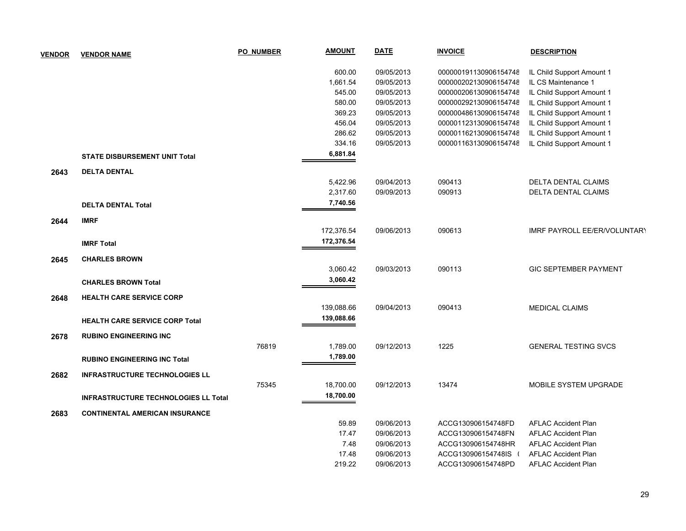| <b>VENDOR</b> | <b>VENDOR NAME</b>                          | <b>PO NUMBER</b> | <b>AMOUNT</b> | <b>DATE</b> | <b>INVOICE</b>        | <b>DESCRIPTION</b>           |
|---------------|---------------------------------------------|------------------|---------------|-------------|-----------------------|------------------------------|
|               |                                             |                  | 600.00        | 09/05/2013  | 000000191130906154748 | IL Child Support Amount 1    |
|               |                                             |                  | 1,661.54      | 09/05/2013  | 000000202130906154748 | IL CS Maintenance 1          |
|               |                                             |                  | 545.00        | 09/05/2013  | 000000206130906154748 | IL Child Support Amount 1    |
|               |                                             |                  | 580.00        | 09/05/2013  | 000000292130906154748 | IL Child Support Amount 1    |
|               |                                             |                  | 369.23        | 09/05/2013  | 000000486130906154748 | IL Child Support Amount 1    |
|               |                                             |                  | 456.04        | 09/05/2013  | 000001123130906154748 | IL Child Support Amount 1    |
|               |                                             |                  | 286.62        | 09/05/2013  | 000001162130906154748 | IL Child Support Amount 1    |
|               |                                             |                  | 334.16        | 09/05/2013  | 000001163130906154748 | IL Child Support Amount 1    |
|               | <b>STATE DISBURSEMENT UNIT Total</b>        |                  | 6,881.84      |             |                       |                              |
| 2643          | <b>DELTA DENTAL</b>                         |                  |               |             |                       |                              |
|               |                                             |                  | 5,422.96      | 09/04/2013  | 090413                | <b>DELTA DENTAL CLAIMS</b>   |
|               |                                             |                  | 2,317.60      | 09/09/2013  | 090913                | DELTA DENTAL CLAIMS          |
|               | <b>DELTA DENTAL Total</b>                   |                  | 7,740.56      |             |                       |                              |
| 2644          | <b>IMRF</b>                                 |                  |               |             |                       |                              |
|               |                                             |                  | 172,376.54    | 09/06/2013  | 090613                | IMRF PAYROLL EE/ER/VOLUNTARY |
|               | <b>IMRF Total</b>                           |                  | 172,376.54    |             |                       |                              |
| 2645          | <b>CHARLES BROWN</b>                        |                  |               |             |                       |                              |
|               |                                             |                  | 3,060.42      | 09/03/2013  | 090113                | <b>GIC SEPTEMBER PAYMENT</b> |
|               | <b>CHARLES BROWN Total</b>                  |                  | 3,060.42      |             |                       |                              |
| 2648          | <b>HEALTH CARE SERVICE CORP</b>             |                  |               |             |                       |                              |
|               |                                             |                  | 139,088.66    | 09/04/2013  | 090413                | <b>MEDICAL CLAIMS</b>        |
|               | <b>HEALTH CARE SERVICE CORP Total</b>       |                  | 139,088.66    |             |                       |                              |
| 2678          | <b>RUBINO ENGINEERING INC</b>               |                  |               |             |                       |                              |
|               |                                             | 76819            | 1,789.00      | 09/12/2013  | 1225                  | <b>GENERAL TESTING SVCS</b>  |
|               | <b>RUBINO ENGINEERING INC Total</b>         |                  | 1,789.00      |             |                       |                              |
| 2682          | <b>INFRASTRUCTURE TECHNOLOGIES LL</b>       |                  |               |             |                       |                              |
|               |                                             | 75345            | 18,700.00     | 09/12/2013  | 13474                 | MOBILE SYSTEM UPGRADE        |
|               | <b>INFRASTRUCTURE TECHNOLOGIES LL Total</b> |                  | 18,700.00     |             |                       |                              |
| 2683          | <b>CONTINENTAL AMERICAN INSURANCE</b>       |                  |               |             |                       |                              |
|               |                                             |                  | 59.89         | 09/06/2013  | ACCG130906154748FD    | <b>AFLAC Accident Plan</b>   |
|               |                                             |                  | 17.47         | 09/06/2013  | ACCG130906154748FN    | <b>AFLAC Accident Plan</b>   |
|               |                                             |                  | 7.48          | 09/06/2013  | ACCG130906154748HR    | <b>AFLAC Accident Plan</b>   |
|               |                                             |                  | 17.48         | 09/06/2013  | ACCG130906154748IS    | <b>AFLAC Accident Plan</b>   |
|               |                                             |                  | 219.22        | 09/06/2013  | ACCG130906154748PD    | <b>AFLAC Accident Plan</b>   |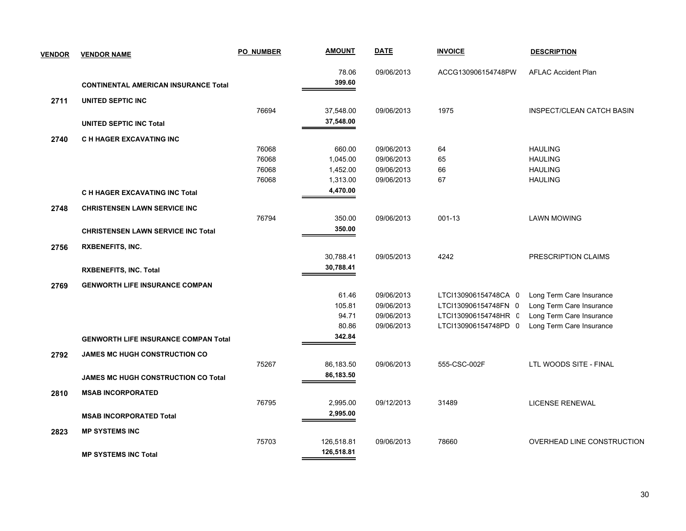| <b>VENDOR</b> | <b>VENDOR NAME</b>                          | <b>PO NUMBER</b> | <b>AMOUNT</b> | <b>DATE</b> | <b>INVOICE</b>       | <b>DESCRIPTION</b>               |
|---------------|---------------------------------------------|------------------|---------------|-------------|----------------------|----------------------------------|
|               |                                             |                  | 78.06         | 09/06/2013  | ACCG130906154748PW   | <b>AFLAC Accident Plan</b>       |
|               | <b>CONTINENTAL AMERICAN INSURANCE Total</b> |                  | 399.60        |             |                      |                                  |
| 2711          | UNITED SEPTIC INC                           |                  |               |             |                      |                                  |
|               |                                             | 76694            | 37,548.00     | 09/06/2013  | 1975                 | <b>INSPECT/CLEAN CATCH BASIN</b> |
|               | <b>UNITED SEPTIC INC Total</b>              |                  | 37,548.00     |             |                      |                                  |
| 2740          | C H HAGER EXCAVATING INC                    |                  |               |             |                      |                                  |
|               |                                             | 76068            | 660.00        | 09/06/2013  | 64                   | <b>HAULING</b>                   |
|               |                                             | 76068            | 1,045.00      | 09/06/2013  | 65                   | <b>HAULING</b>                   |
|               |                                             | 76068            | 1,452.00      | 09/06/2013  | 66                   | <b>HAULING</b>                   |
|               |                                             | 76068            | 1,313.00      | 09/06/2013  | 67                   | <b>HAULING</b>                   |
|               | <b>C H HAGER EXCAVATING INC Total</b>       |                  | 4,470.00      |             |                      |                                  |
| 2748          | <b>CHRISTENSEN LAWN SERVICE INC</b>         |                  |               |             |                      |                                  |
|               |                                             | 76794            | 350.00        | 09/06/2013  | 001-13               | <b>LAWN MOWING</b>               |
|               | <b>CHRISTENSEN LAWN SERVICE INC Total</b>   |                  | 350.00        |             |                      |                                  |
| 2756          | <b>RXBENEFITS, INC.</b>                     |                  |               |             |                      |                                  |
|               |                                             |                  | 30,788.41     | 09/05/2013  | 4242                 | PRESCRIPTION CLAIMS              |
|               | <b>RXBENEFITS, INC. Total</b>               |                  | 30,788.41     |             |                      |                                  |
| 2769          | <b>GENWORTH LIFE INSURANCE COMPAN</b>       |                  |               |             |                      |                                  |
|               |                                             |                  | 61.46         | 09/06/2013  | LTCI130906154748CA 0 | Long Term Care Insurance         |
|               |                                             |                  | 105.81        | 09/06/2013  | LTCI130906154748FN 0 | Long Term Care Insurance         |
|               |                                             |                  | 94.71         | 09/06/2013  | LTCI130906154748HR C | Long Term Care Insurance         |
|               |                                             |                  | 80.86         | 09/06/2013  | LTCI130906154748PD 0 | Long Term Care Insurance         |
|               | <b>GENWORTH LIFE INSURANCE COMPAN Total</b> |                  | 342.84        |             |                      |                                  |
| 2792          | <b>JAMES MC HUGH CONSTRUCTION CO</b>        |                  |               |             |                      |                                  |
|               |                                             | 75267            | 86,183.50     | 09/06/2013  | 555-CSC-002F         | LTL WOODS SITE - FINAL           |
|               | <b>JAMES MC HUGH CONSTRUCTION CO Total</b>  |                  | 86,183.50     |             |                      |                                  |
| 2810          | <b>MSAB INCORPORATED</b>                    |                  |               |             |                      |                                  |
|               |                                             | 76795            | 2,995.00      | 09/12/2013  | 31489                | <b>LICENSE RENEWAL</b>           |
|               | <b>MSAB INCORPORATED Total</b>              |                  | 2,995.00      |             |                      |                                  |
|               | <b>MP SYSTEMS INC</b>                       |                  |               |             |                      |                                  |
| 2823          |                                             | 75703            | 126,518.81    | 09/06/2013  | 78660                | OVERHEAD LINE CONSTRUCTION       |
|               |                                             |                  | 126,518.81    |             |                      |                                  |
|               | <b>MP SYSTEMS INC Total</b>                 |                  |               |             |                      |                                  |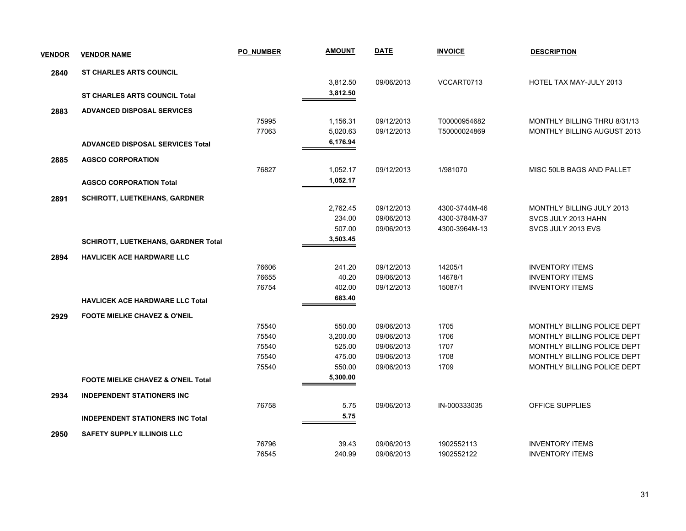| <b>VENDOR</b> | <b>VENDOR NAME</b>                            | <b>PO NUMBER</b> | <b>AMOUNT</b> | <b>DATE</b> | <b>INVOICE</b> | <b>DESCRIPTION</b>           |
|---------------|-----------------------------------------------|------------------|---------------|-------------|----------------|------------------------------|
| 2840          | <b>ST CHARLES ARTS COUNCIL</b>                |                  |               |             |                |                              |
|               |                                               |                  | 3,812.50      | 09/06/2013  | VCCART0713     | HOTEL TAX MAY-JULY 2013      |
|               | <b>ST CHARLES ARTS COUNCIL Total</b>          |                  | 3,812.50      |             |                |                              |
| 2883          | <b>ADVANCED DISPOSAL SERVICES</b>             |                  |               |             |                |                              |
|               |                                               | 75995            | 1,156.31      | 09/12/2013  | T00000954682   | MONTHLY BILLING THRU 8/31/13 |
|               |                                               | 77063            | 5,020.63      | 09/12/2013  | T50000024869   | MONTHLY BILLING AUGUST 2013  |
|               | <b>ADVANCED DISPOSAL SERVICES Total</b>       |                  | 6,176.94      |             |                |                              |
| 2885          | <b>AGSCO CORPORATION</b>                      |                  |               |             |                |                              |
|               |                                               | 76827            | 1,052.17      | 09/12/2013  | 1/981070       | MISC 50LB BAGS AND PALLET    |
|               | <b>AGSCO CORPORATION Total</b>                |                  | 1,052.17      |             |                |                              |
| 2891          | <b>SCHIROTT, LUETKEHANS, GARDNER</b>          |                  |               |             |                |                              |
|               |                                               |                  | 2,762.45      | 09/12/2013  | 4300-3744M-46  | MONTHLY BILLING JULY 2013    |
|               |                                               |                  | 234.00        | 09/06/2013  | 4300-3784M-37  | SVCS JULY 2013 HAHN          |
|               |                                               |                  | 507.00        | 09/06/2013  | 4300-3964M-13  | SVCS JULY 2013 EVS           |
|               | <b>SCHIROTT, LUETKEHANS, GARDNER Total</b>    |                  | 3,503.45      |             |                |                              |
| 2894          | <b>HAVLICEK ACE HARDWARE LLC</b>              |                  |               |             |                |                              |
|               |                                               | 76606            | 241.20        | 09/12/2013  | 14205/1        | <b>INVENTORY ITEMS</b>       |
|               |                                               | 76655            | 40.20         | 09/06/2013  | 14678/1        | <b>INVENTORY ITEMS</b>       |
|               |                                               | 76754            | 402.00        | 09/12/2013  | 15087/1        | <b>INVENTORY ITEMS</b>       |
|               | <b>HAVLICEK ACE HARDWARE LLC Total</b>        |                  | 683.40        |             |                |                              |
| 2929          | <b>FOOTE MIELKE CHAVEZ &amp; O'NEIL</b>       |                  |               |             |                |                              |
|               |                                               | 75540            | 550.00        | 09/06/2013  | 1705           | MONTHLY BILLING POLICE DEPT  |
|               |                                               | 75540            | 3,200.00      | 09/06/2013  | 1706           | MONTHLY BILLING POLICE DEPT  |
|               |                                               | 75540            | 525.00        | 09/06/2013  | 1707           | MONTHLY BILLING POLICE DEPT  |
|               |                                               | 75540            | 475.00        | 09/06/2013  | 1708           | MONTHLY BILLING POLICE DEPT  |
|               |                                               | 75540            | 550.00        | 09/06/2013  | 1709           | MONTHLY BILLING POLICE DEPT  |
|               | <b>FOOTE MIELKE CHAVEZ &amp; O'NEIL Total</b> |                  | 5,300.00      |             |                |                              |
| 2934          | <b>INDEPENDENT STATIONERS INC</b>             |                  |               |             |                |                              |
|               |                                               | 76758            | 5.75          | 09/06/2013  | IN-000333035   | <b>OFFICE SUPPLIES</b>       |
|               | <b>INDEPENDENT STATIONERS INC Total</b>       |                  | 5.75          |             |                |                              |
| 2950          | <b>SAFETY SUPPLY ILLINOIS LLC</b>             |                  |               |             |                |                              |
|               |                                               | 76796            | 39.43         | 09/06/2013  | 1902552113     | <b>INVENTORY ITEMS</b>       |
|               |                                               | 76545            | 240.99        | 09/06/2013  | 1902552122     | <b>INVENTORY ITEMS</b>       |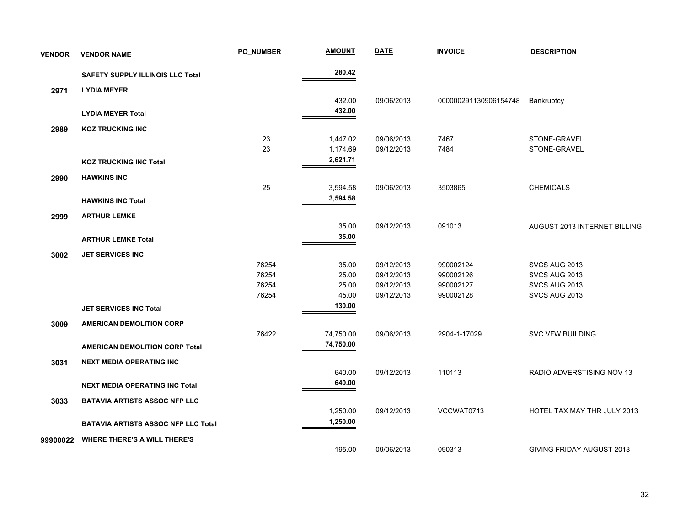| <b>VENDOR</b> | <b>VENDOR NAME</b>                         | <b>PO NUMBER</b> | <b>AMOUNT</b> | <b>DATE</b> | <b>INVOICE</b>        | <b>DESCRIPTION</b>           |
|---------------|--------------------------------------------|------------------|---------------|-------------|-----------------------|------------------------------|
|               | <b>SAFETY SUPPLY ILLINOIS LLC Total</b>    |                  | 280.42        |             |                       |                              |
| 2971          | <b>LYDIA MEYER</b>                         |                  |               |             |                       |                              |
|               |                                            |                  | 432.00        | 09/06/2013  | 000000291130906154748 | Bankruptcy                   |
|               | <b>LYDIA MEYER Total</b>                   |                  | 432.00        |             |                       |                              |
| 2989          | <b>KOZ TRUCKING INC</b>                    |                  |               |             |                       |                              |
|               |                                            | 23               | 1,447.02      | 09/06/2013  | 7467                  | STONE-GRAVEL                 |
|               |                                            | 23               | 1,174.69      | 09/12/2013  | 7484                  | STONE-GRAVEL                 |
|               | <b>KOZ TRUCKING INC Total</b>              |                  | 2,621.71      |             |                       |                              |
| 2990          | <b>HAWKINS INC</b>                         |                  |               |             |                       |                              |
|               |                                            | 25               | 3,594.58      | 09/06/2013  | 3503865               | <b>CHEMICALS</b>             |
|               | <b>HAWKINS INC Total</b>                   |                  | 3,594.58      |             |                       |                              |
| 2999          | <b>ARTHUR LEMKE</b>                        |                  |               |             |                       |                              |
|               |                                            |                  | 35.00         | 09/12/2013  | 091013                | AUGUST 2013 INTERNET BILLING |
|               | <b>ARTHUR LEMKE Total</b>                  |                  | 35.00         |             |                       |                              |
| 3002          | <b>JET SERVICES INC</b>                    |                  |               |             |                       |                              |
|               |                                            | 76254            | 35.00         | 09/12/2013  | 990002124             | SVCS AUG 2013                |
|               |                                            | 76254            | 25.00         | 09/12/2013  | 990002126             | SVCS AUG 2013                |
|               |                                            | 76254            | 25.00         | 09/12/2013  | 990002127             | SVCS AUG 2013                |
|               |                                            | 76254            | 45.00         | 09/12/2013  | 990002128             | SVCS AUG 2013                |
|               | <b>JET SERVICES INC Total</b>              |                  | 130.00        |             |                       |                              |
| 3009          | <b>AMERICAN DEMOLITION CORP</b>            |                  |               |             |                       |                              |
|               |                                            | 76422            | 74,750.00     | 09/06/2013  | 2904-1-17029          | <b>SVC VFW BUILDING</b>      |
|               | <b>AMERICAN DEMOLITION CORP Total</b>      |                  | 74,750.00     |             |                       |                              |
| 3031          | <b>NEXT MEDIA OPERATING INC</b>            |                  |               |             |                       |                              |
|               |                                            |                  | 640.00        | 09/12/2013  | 110113                | RADIO ADVERSTISING NOV 13    |
|               | <b>NEXT MEDIA OPERATING INC Total</b>      |                  | 640.00        |             |                       |                              |
| 3033          | <b>BATAVIA ARTISTS ASSOC NFP LLC</b>       |                  |               |             |                       |                              |
|               |                                            |                  | 1,250.00      | 09/12/2013  | VCCWAT0713            | HOTEL TAX MAY THR JULY 2013  |
|               | <b>BATAVIA ARTISTS ASSOC NFP LLC Total</b> |                  | 1,250.00      |             |                       |                              |
| 99900022      | <b>WHERE THERE'S A WILL THERE'S</b>        |                  |               |             |                       |                              |
|               |                                            |                  | 195.00        | 09/06/2013  | 090313                | GIVING FRIDAY AUGUST 2013    |